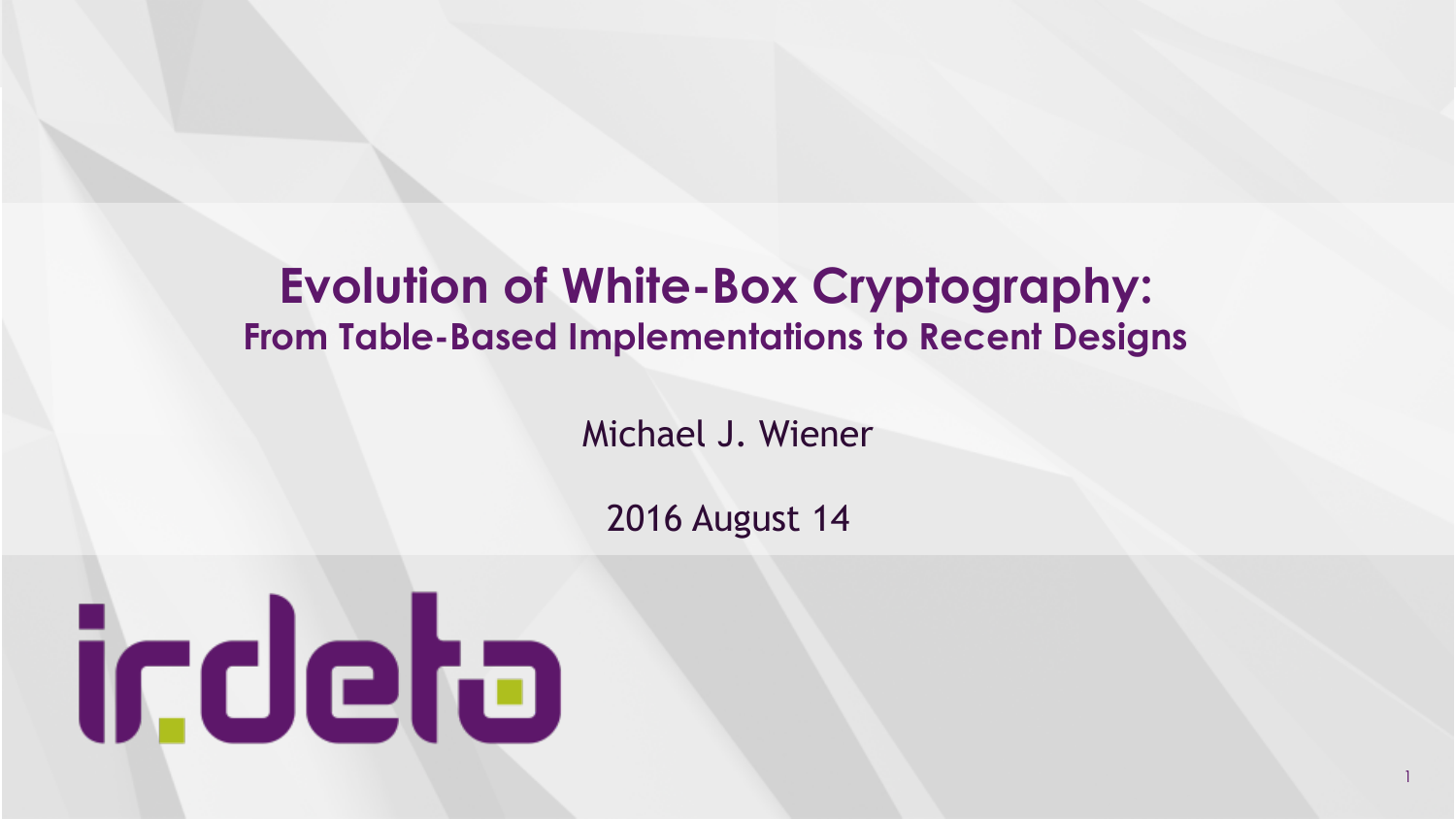# **Evolution of White-Box Cryptography: From Table-Based Implementations to Recent Designs**

Michael J. Wiener

2016 August 14

1

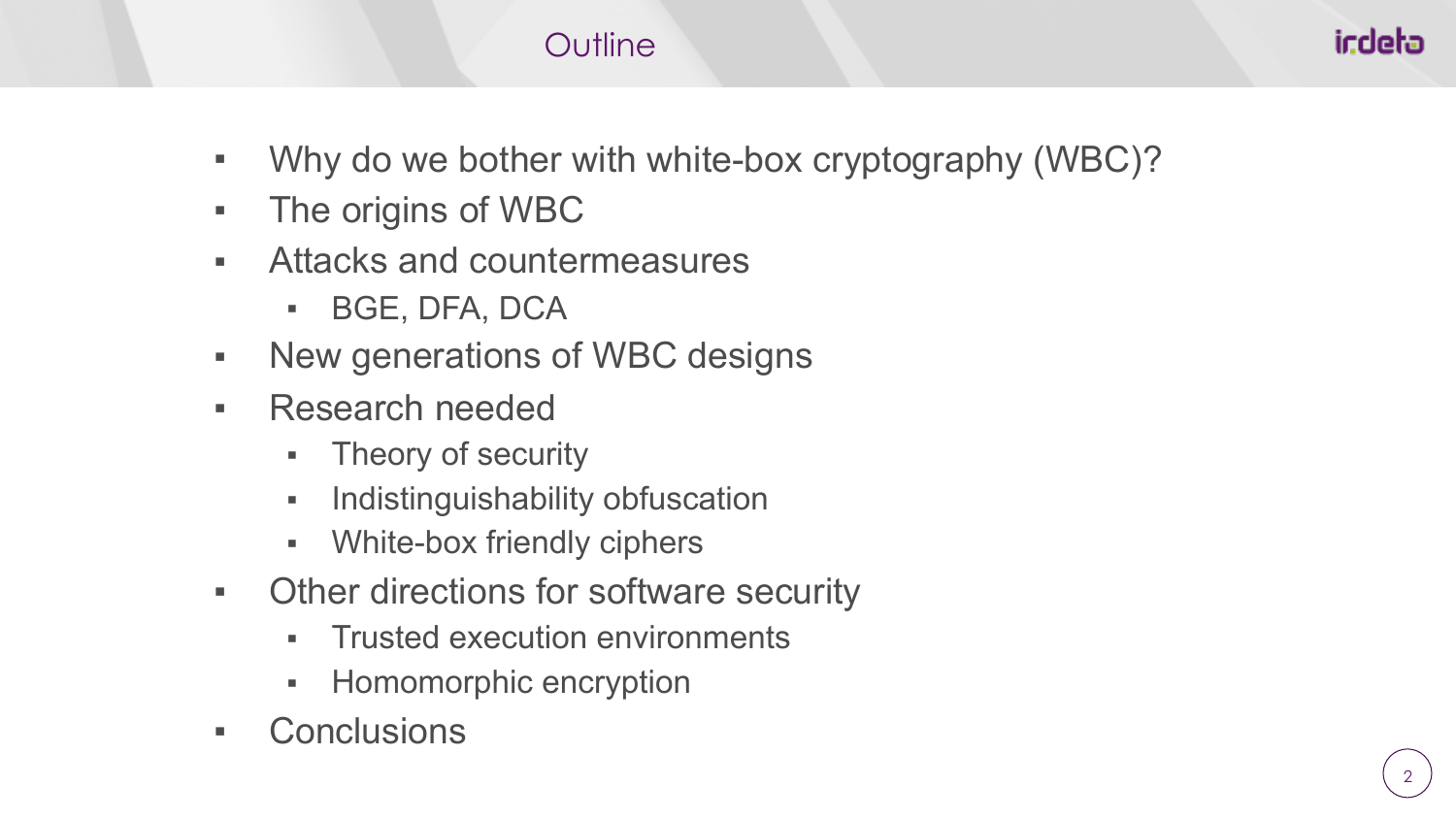### **Outline**

- Why do we bother with white-box cryptography (WBC)?
- The origins of WBC
- Attacks and countermeasures
	- BGE, DFA, DCA
- New generations of WBC designs
- Research needed
	- Theory of security
	- **•** Indistinguishability obfuscation
	- White-box friendly ciphers
- Other directions for software security
	- **Trusted execution environments**
	- Homomorphic encryption
- **Conclusions**

icdeta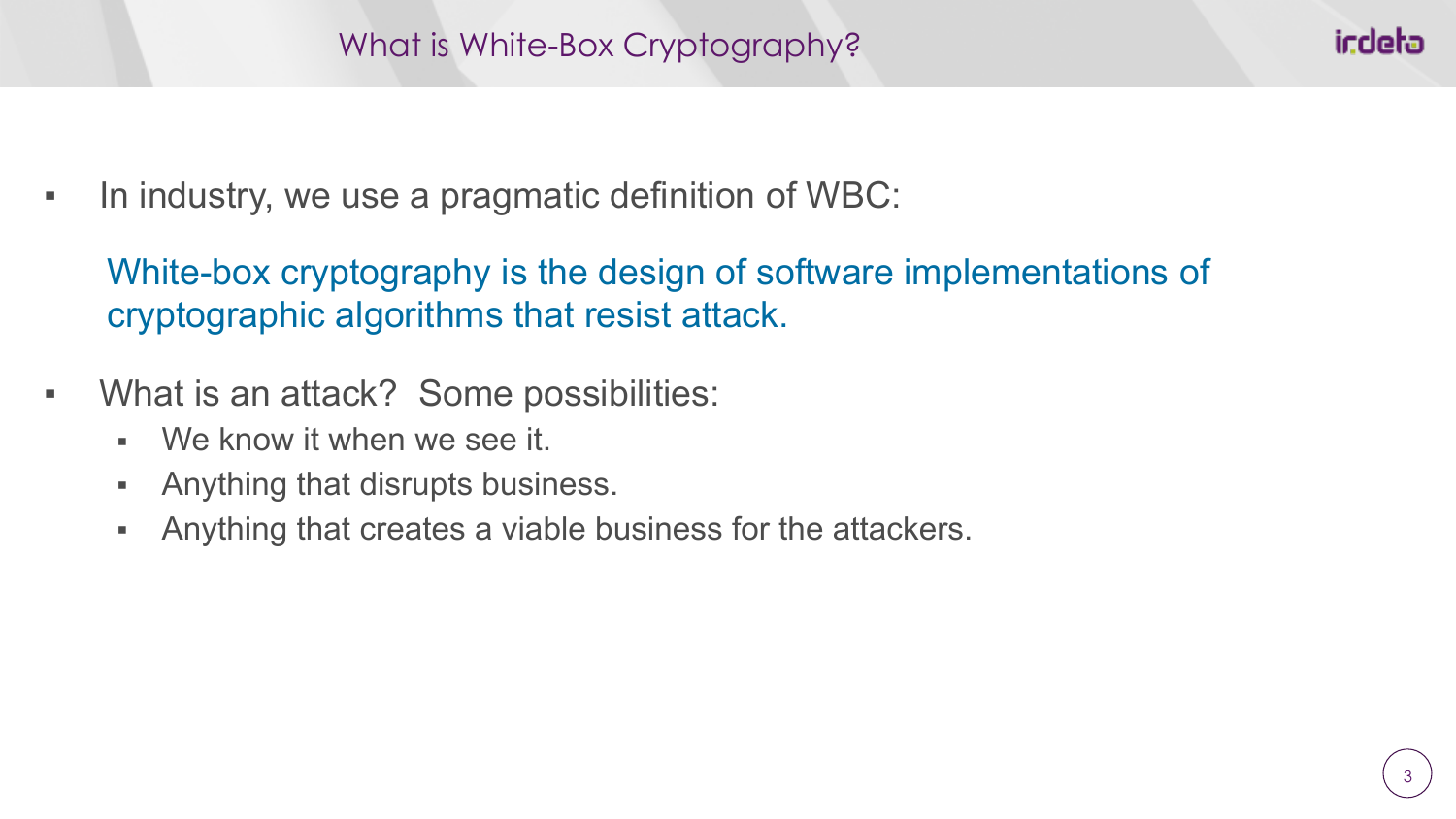▪ In industry, we use a pragmatic definition of WBC:

White-box cryptography is the design of software implementations of cryptographic algorithms that resist attack.

- What is an attack? Some possibilities:
	- We know it when we see it.
	- **Anything that disrupts business.**
	- **EXECT** Anything that creates a viable business for the attackers.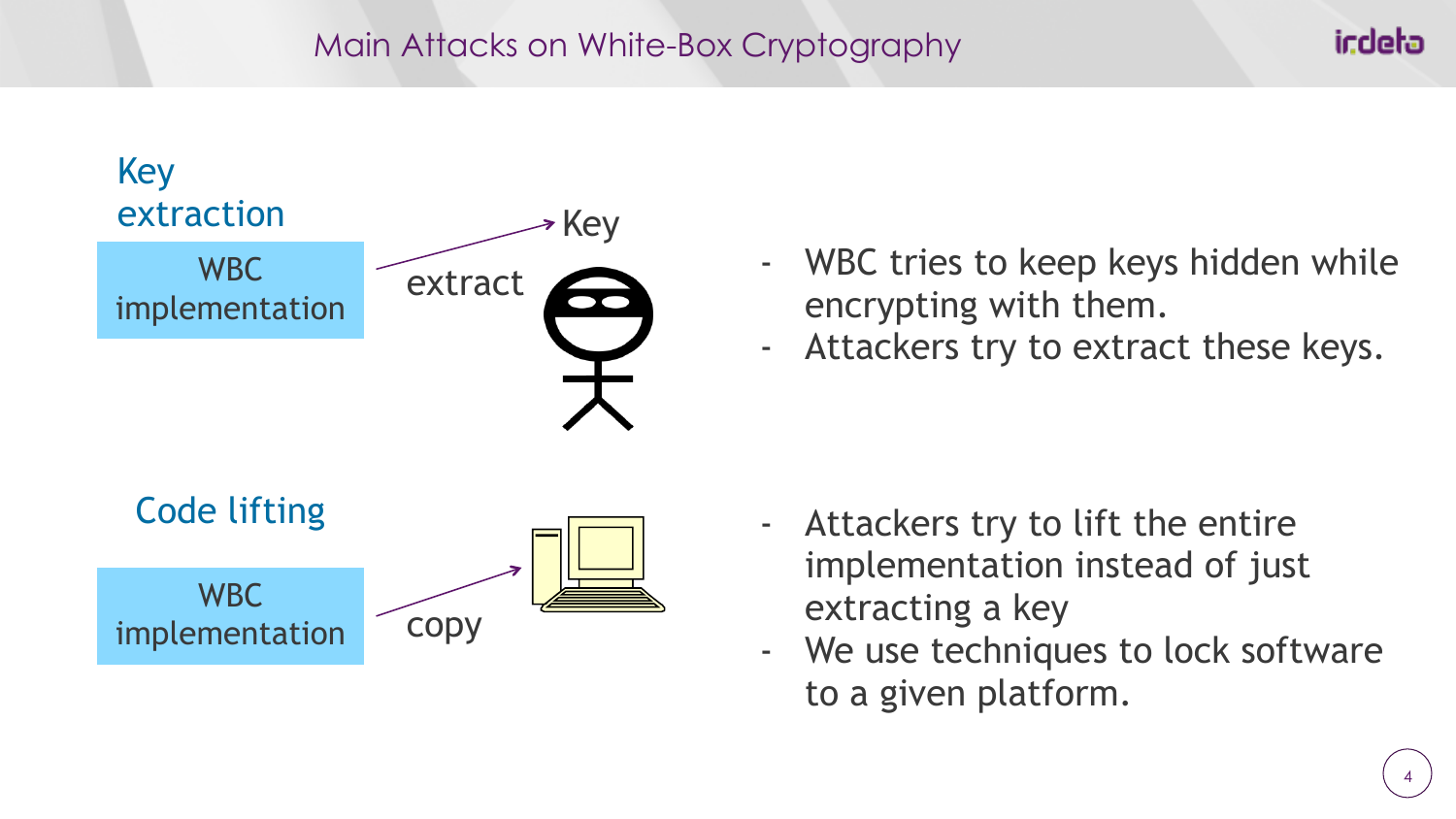#### Main Attacks on White-Box Cryptography



- WBC tries to keep keys hidden while encrypting with them.
- Attackers try to extract these keys.

- implementation instead of just extracting a key
- We use techniques to lock software to a given platform.

indeta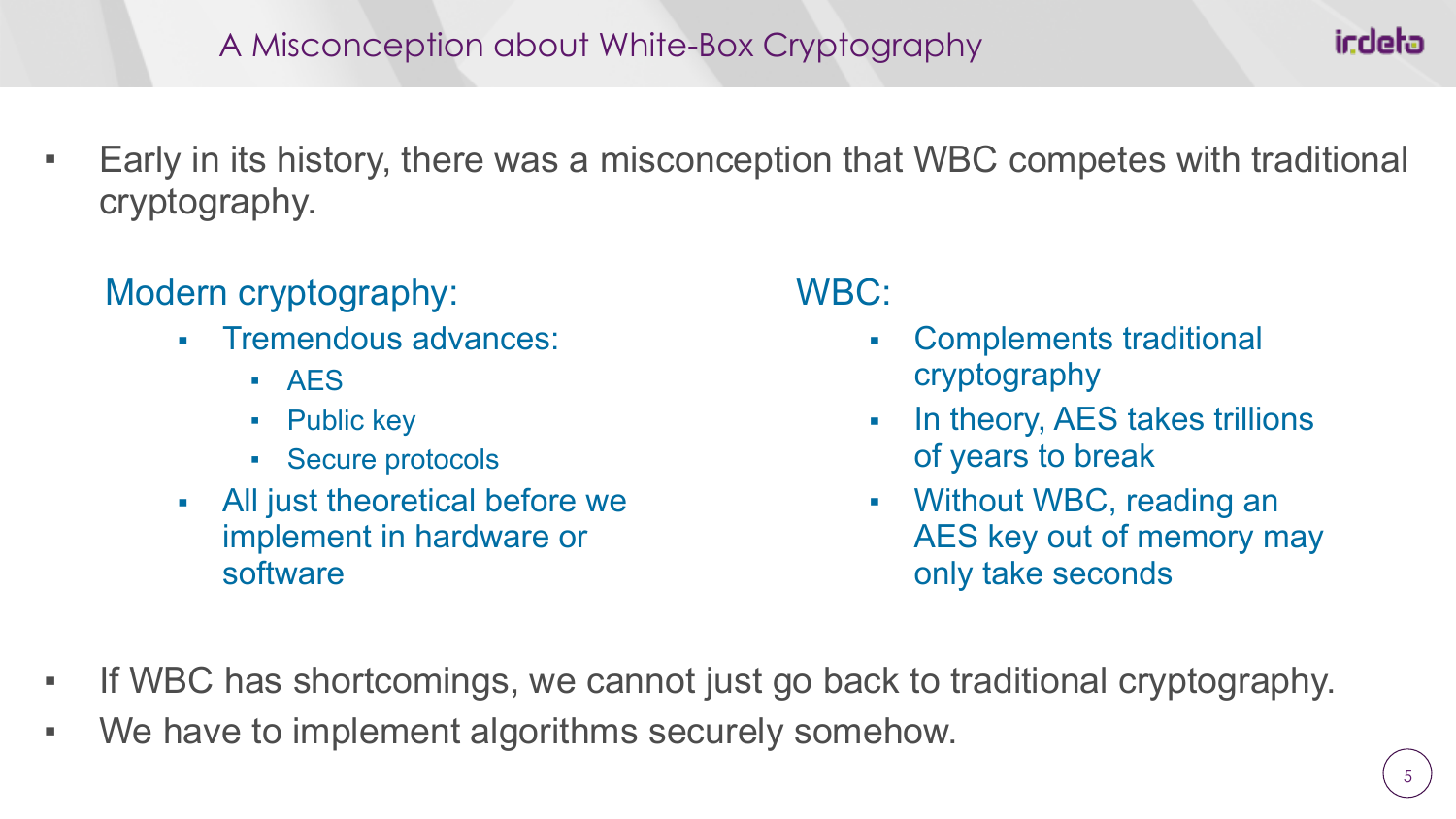▪ Early in its history, there was a misconception that WBC competes with traditional cryptography.

# Modern cryptography:

- Tremendous advances:
	- AES
	- Public key
	- Secure protocols
- All just theoretical before we implement in hardware or software

WBC:

- Complements traditional cryptography
- In theory, AES takes trillions of years to break
- Without WBC, reading an AES key out of memory may only take seconds
- If WBC has shortcomings, we cannot just go back to traditional cryptography.
- We have to implement algorithms securely somehow.

icdeta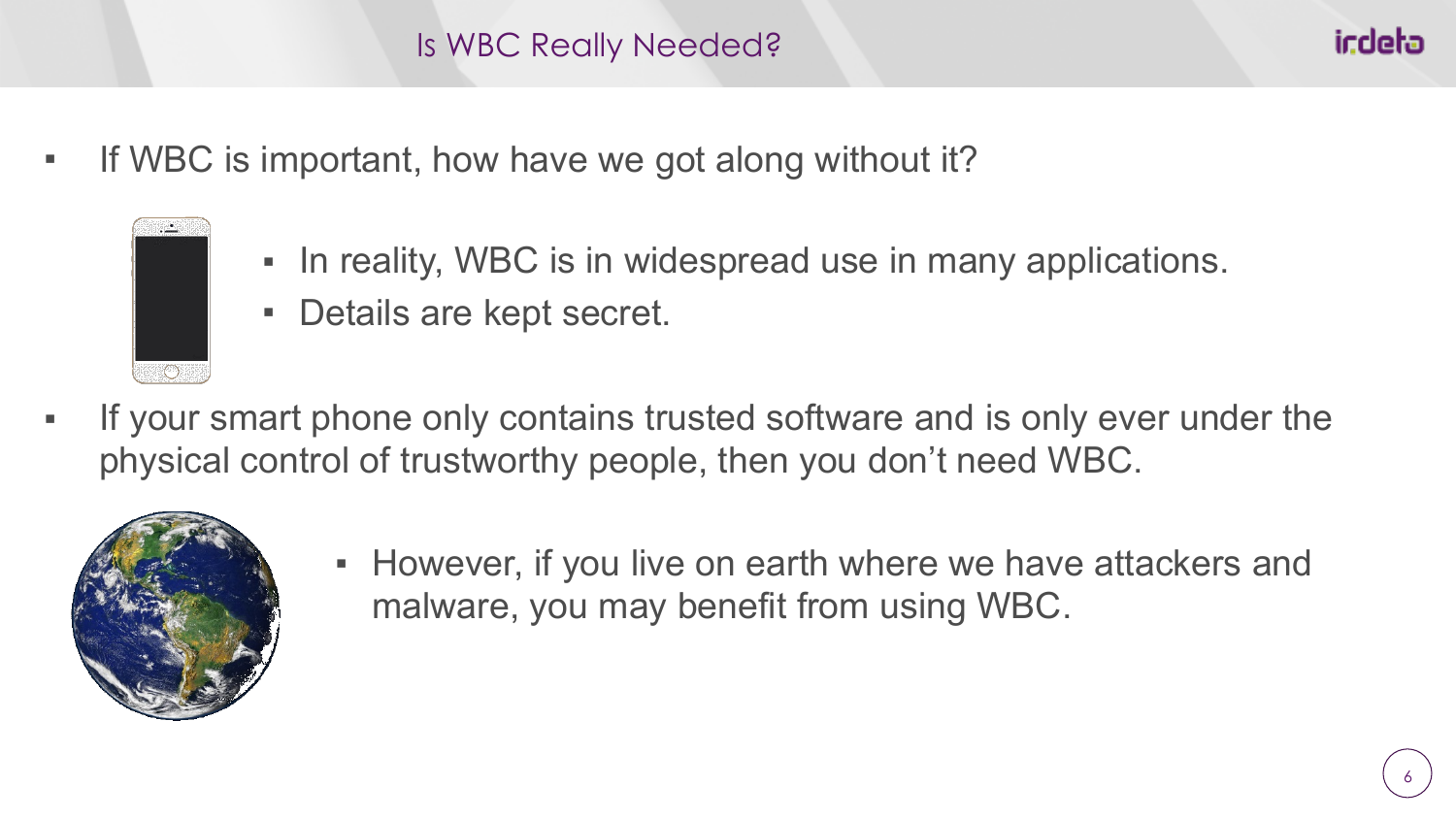- If WBC is important, how have we got along without it?
	- In reality, WBC is in widespread use in many applications.
	- Details are kept secret.
- If your smart phone only contains trusted software and is only ever under the physical control of trustworthy people, then you don't need WBC.



こくりょう

▪ However, if you live on earth where we have attackers and malware, you may benefit from using WBC.

iccleba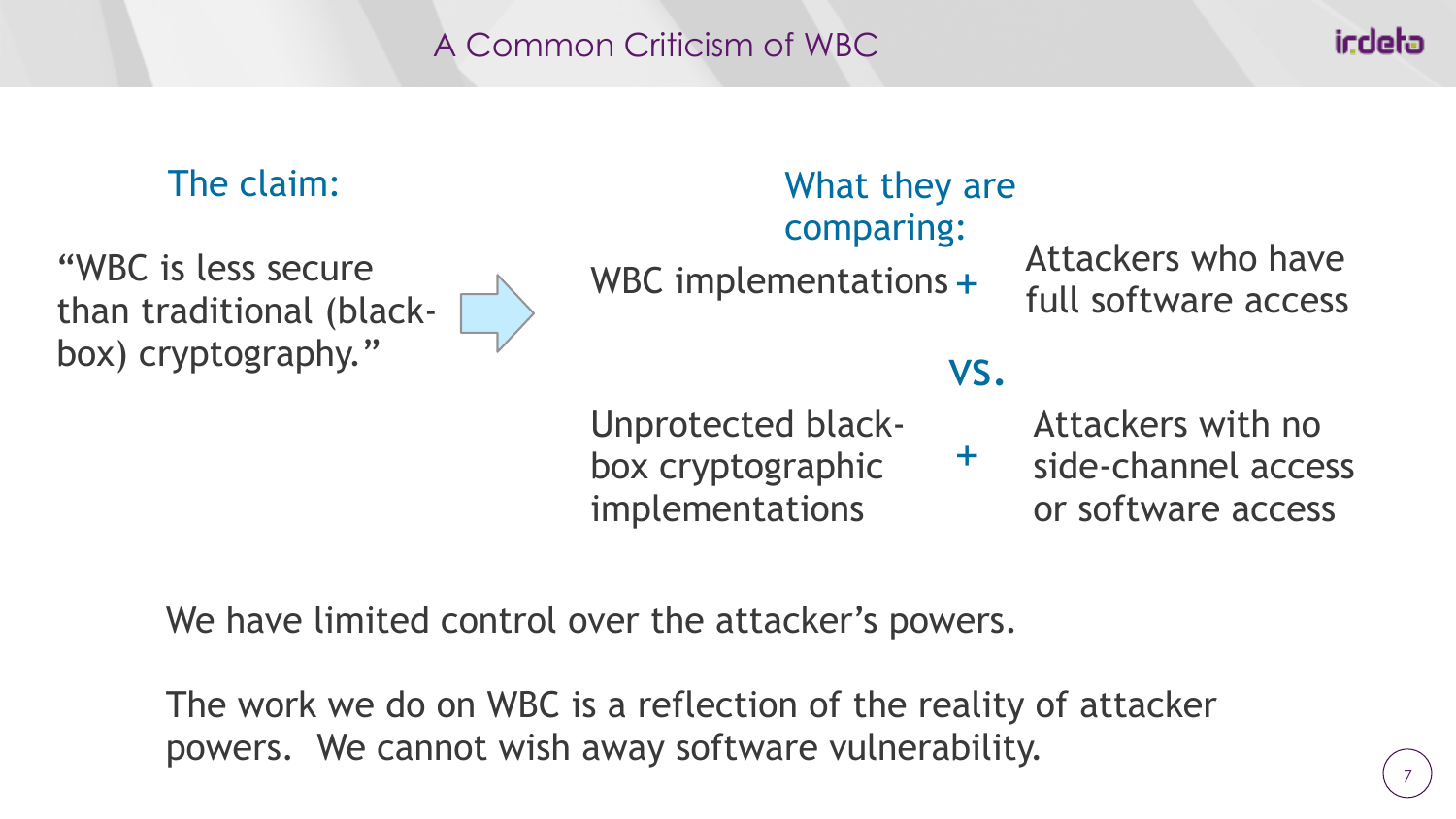### A Common Criticism of WBC

## The claim:

"WBC is less secure than traditional (blackbox) cryptography."

comparing:

WBC implementations +  $\frac{1}{10}$  Attackers who have full software access

# vs.

What they are

Unprotected blackbox cryptographic implementations

Attackers with no side-channel access or software access  $+$ 

We have limited control over the attacker's powers.

The work we do on WBC is a reflection of the reality of attacker powers. We cannot wish away software vulnerability.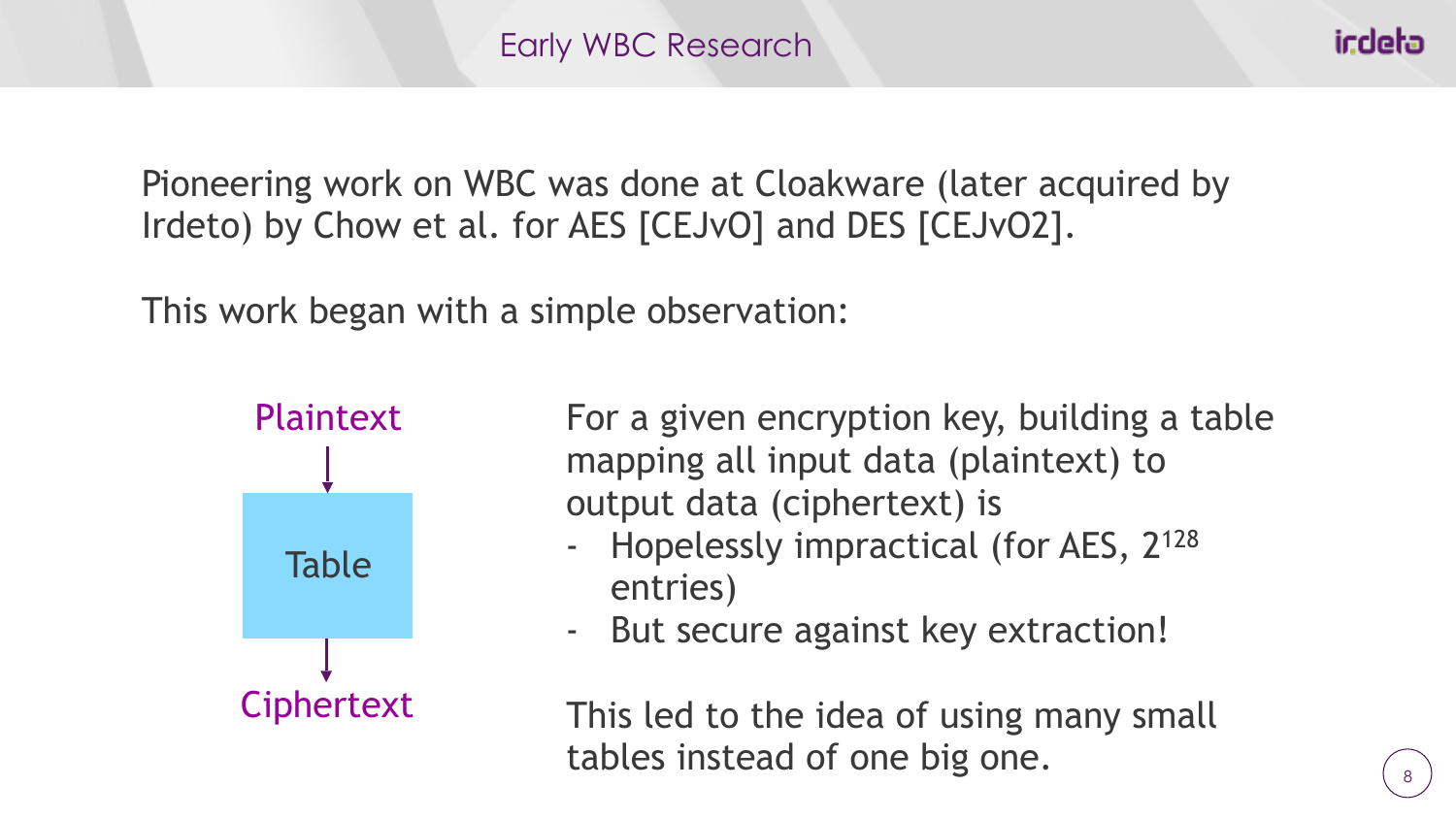Pioneering work on WBC was done at Cloakware (later acquired by Irdeto) by Chow et al. for AES [CEJvO] and DES [CEJvO2].

This work began with a simple observation:



For a given encryption key, building a table mapping all input data (plaintext) to output data (ciphertext) is

- Hopelessly impractical (for AES, 2<sup>128</sup> entries)
- But secure against key extraction!

This led to the idea of using many small tables instead of one big one.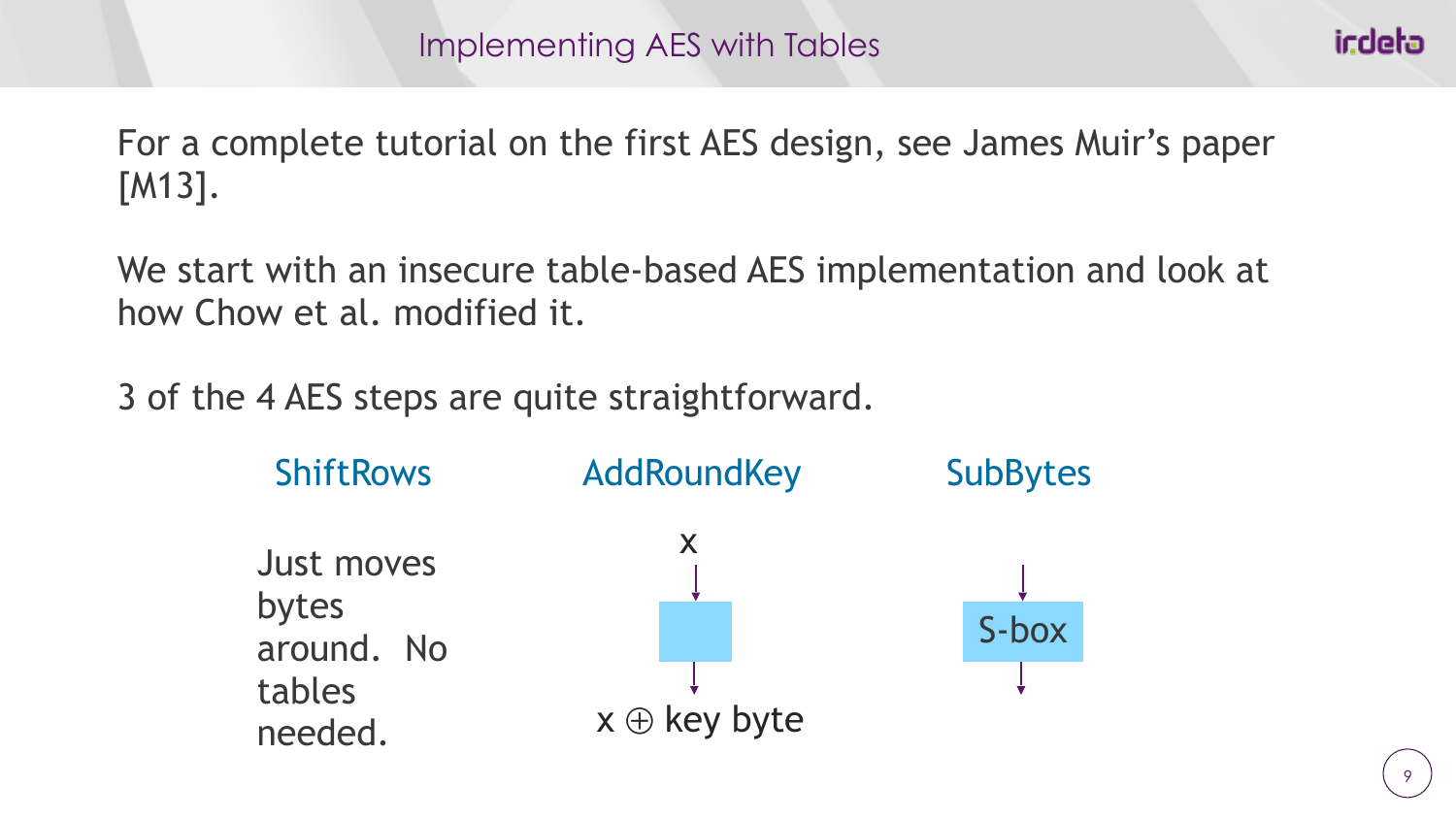For a complete tutorial on the first AES design, see James Muir's paper [M13].

We start with an insecure table-based AES implementation and look at how Chow et al. modified it.

3 of the 4 AES steps are quite straightforward.

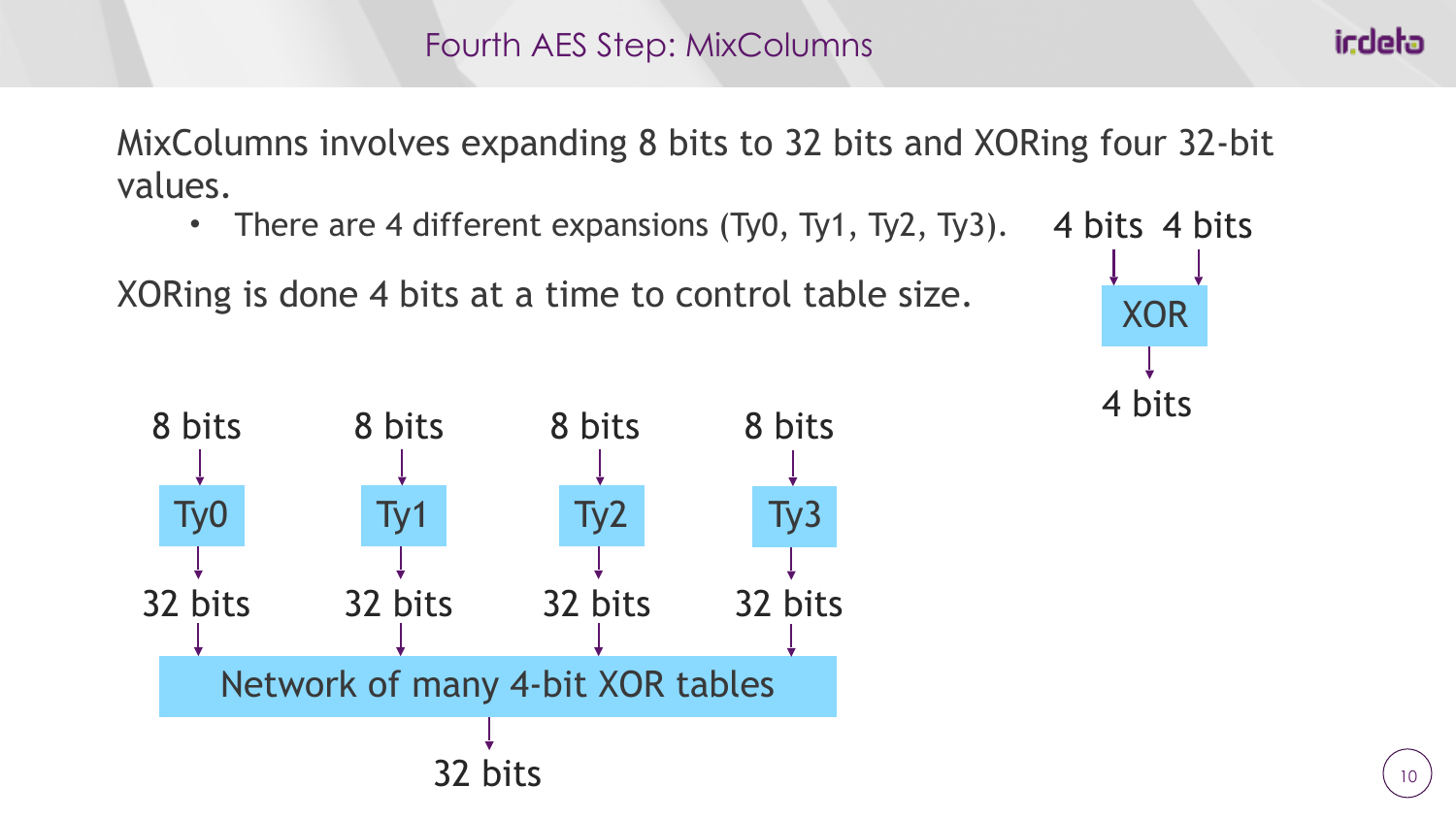MixColumns involves expanding 8 bits to 32 bits and XORing four 32-bit values.

• There are 4 different expansions (Ty0, Ty1, Ty2, Ty3). 4 bits 4 bits

XORing is done 4 bits at a time to control table size.





indeta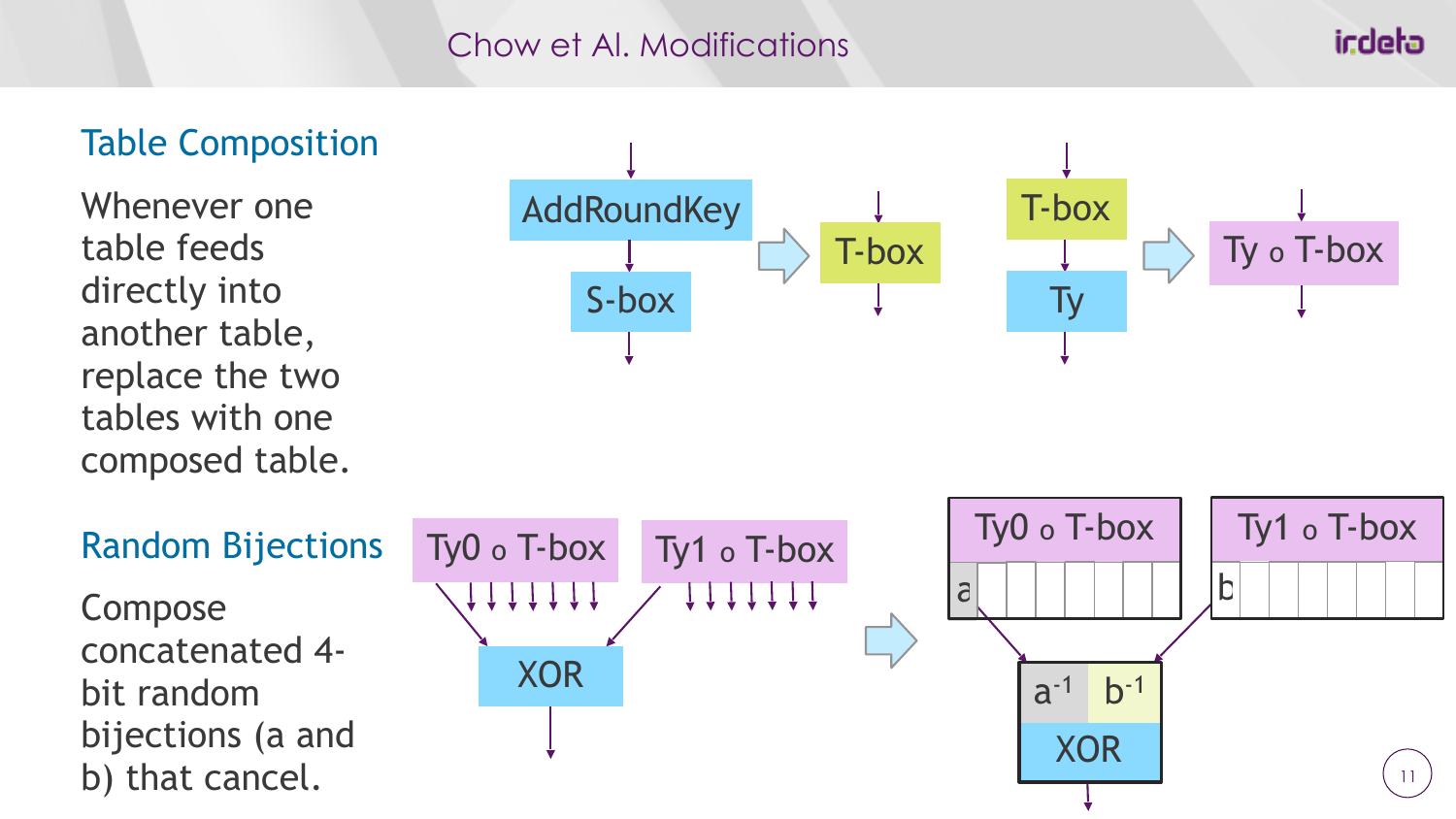#### Chow et Al. Modifications

**AddRoundKey** 

S-box

Ty o T-box

### Table Composition

Whenever one table feeds directly into another table, replace the two tables with one composed table.



T-box

T-box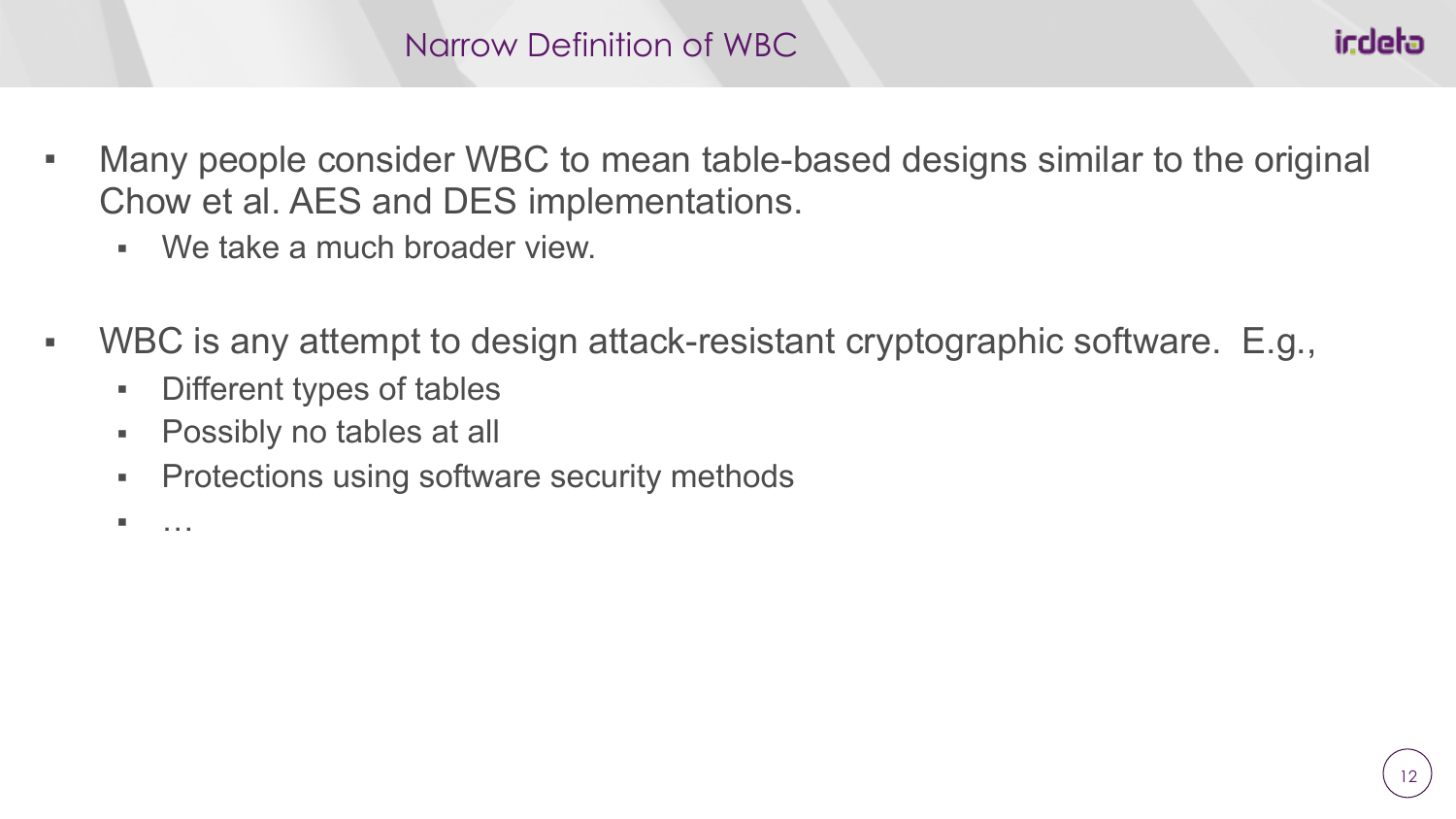- Many people consider WBC to mean table-based designs similar to the original Chow et al. AES and DES implementations.
	- We take a much broader view.
- WBC is any attempt to design attack-resistant cryptographic software. E.g.,
	- Different types of tables
	- Possibly no tables at all
	- **Protections using software security methods**

▪ …

icdeta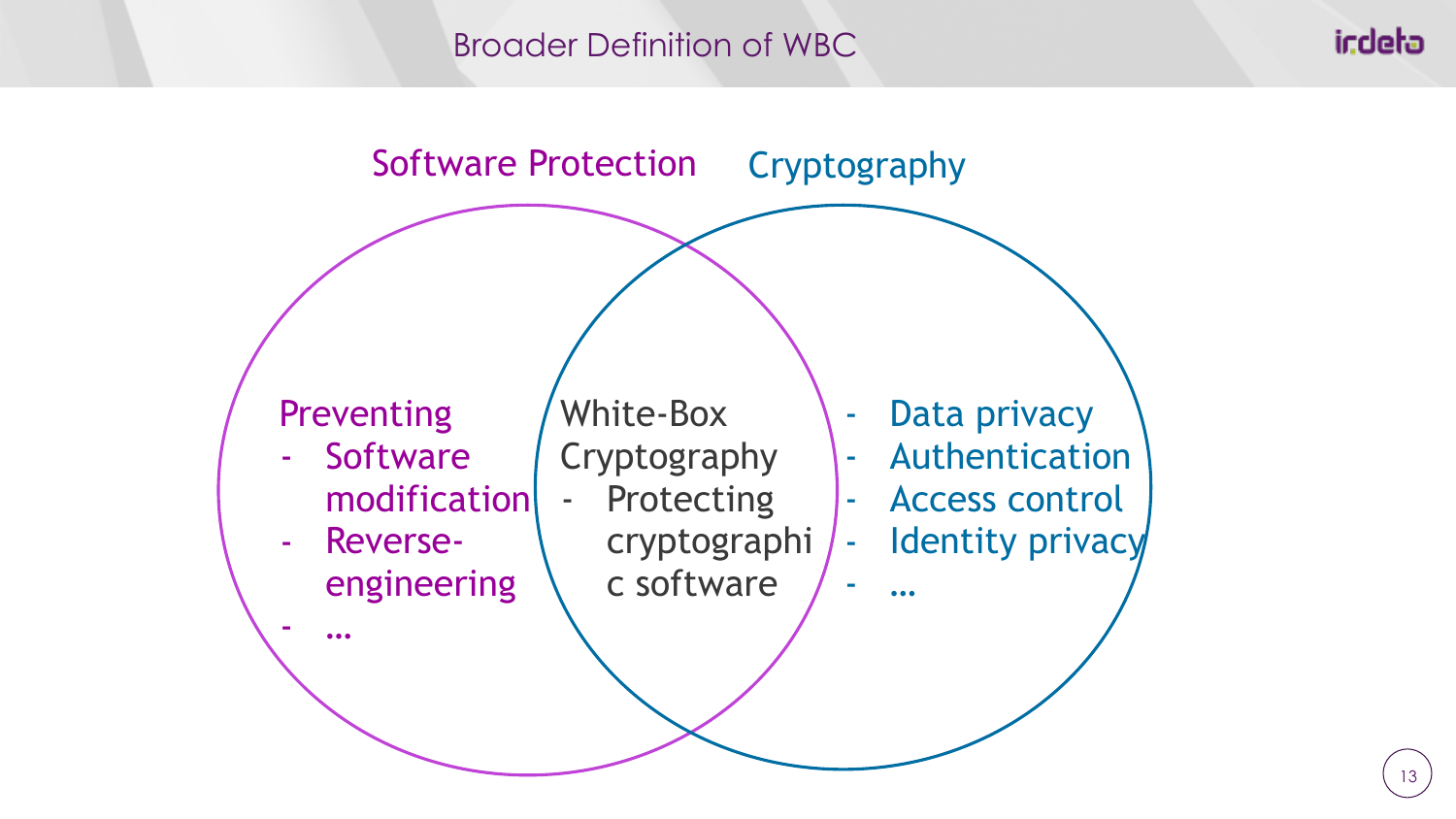#### Broader Definition of WBC

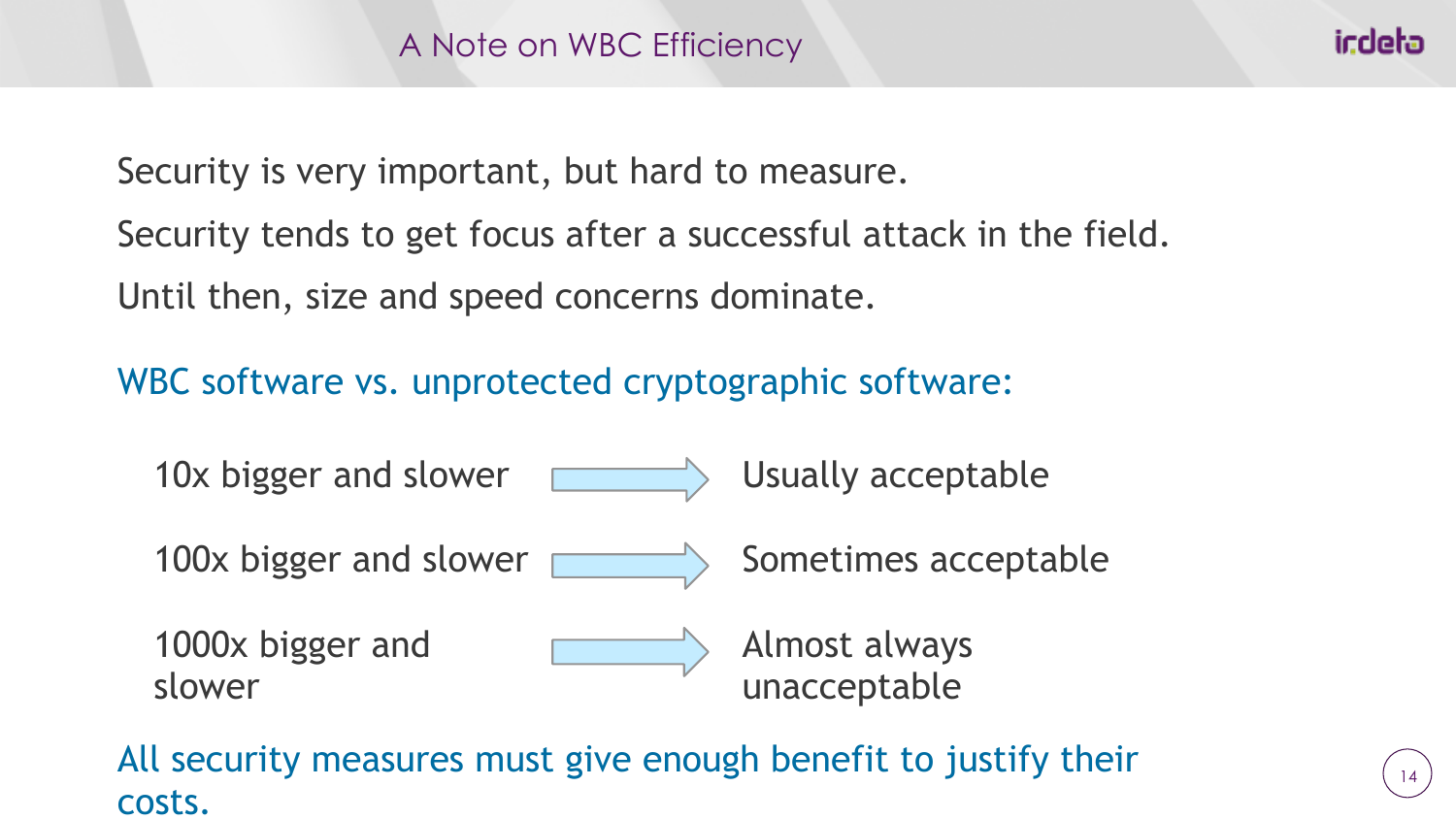Security is very important, but hard to measure.

Security tends to get focus after a successful attack in the field. Until then, size and speed concerns dominate.

WBC software vs. unprotected cryptographic software:



All security measures must give enough benefit to justify their costs.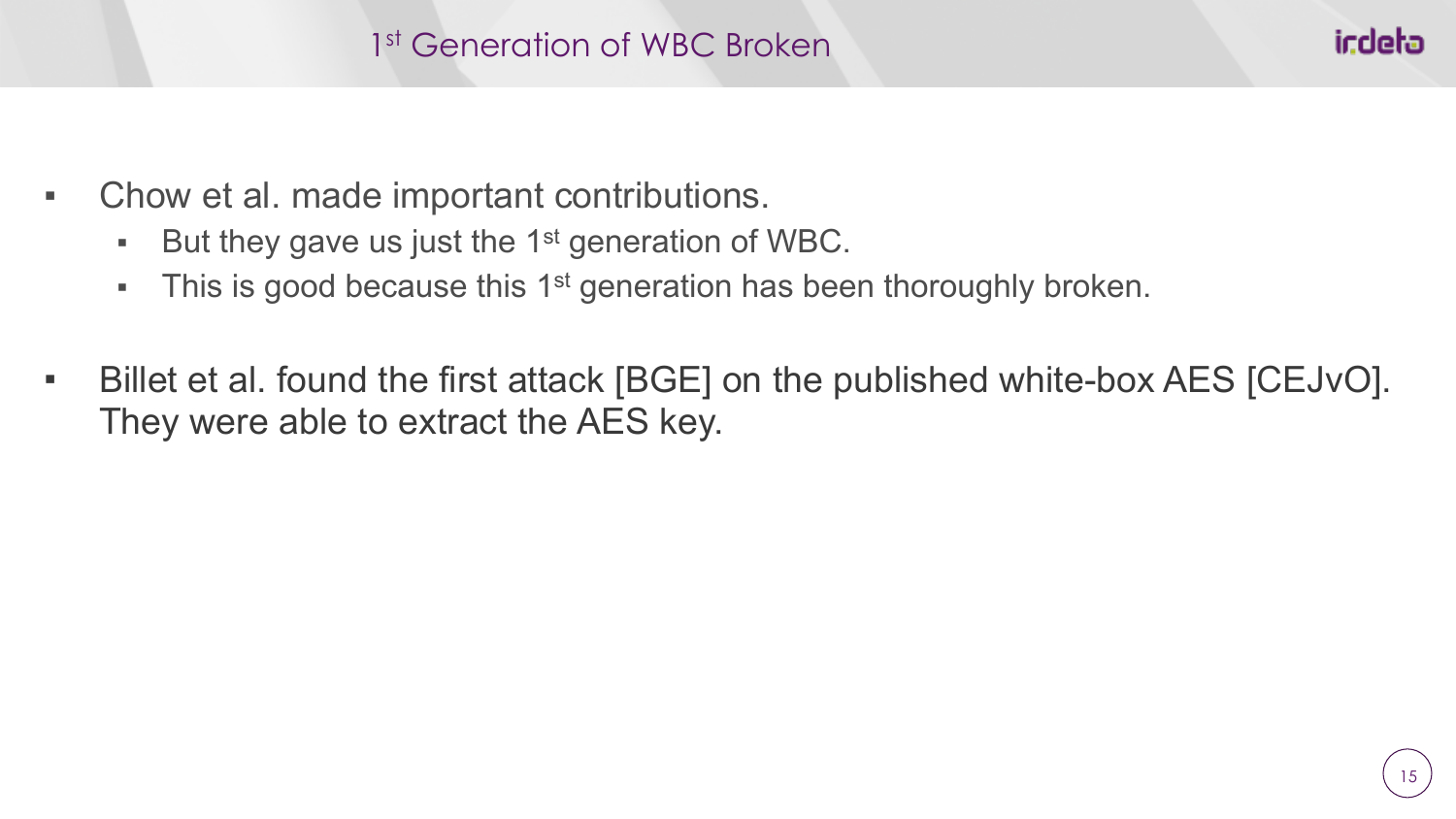- Chow et al. made important contributions.
	- $\blacksquare$  But they gave us just the 1<sup>st</sup> generation of WBC.
	- **•** This is good because this 1<sup>st</sup> generation has been thoroughly broken.
- Billet et al. found the first attack [BGE] on the published white-box AES [CEJvO]. They were able to extract the AES key.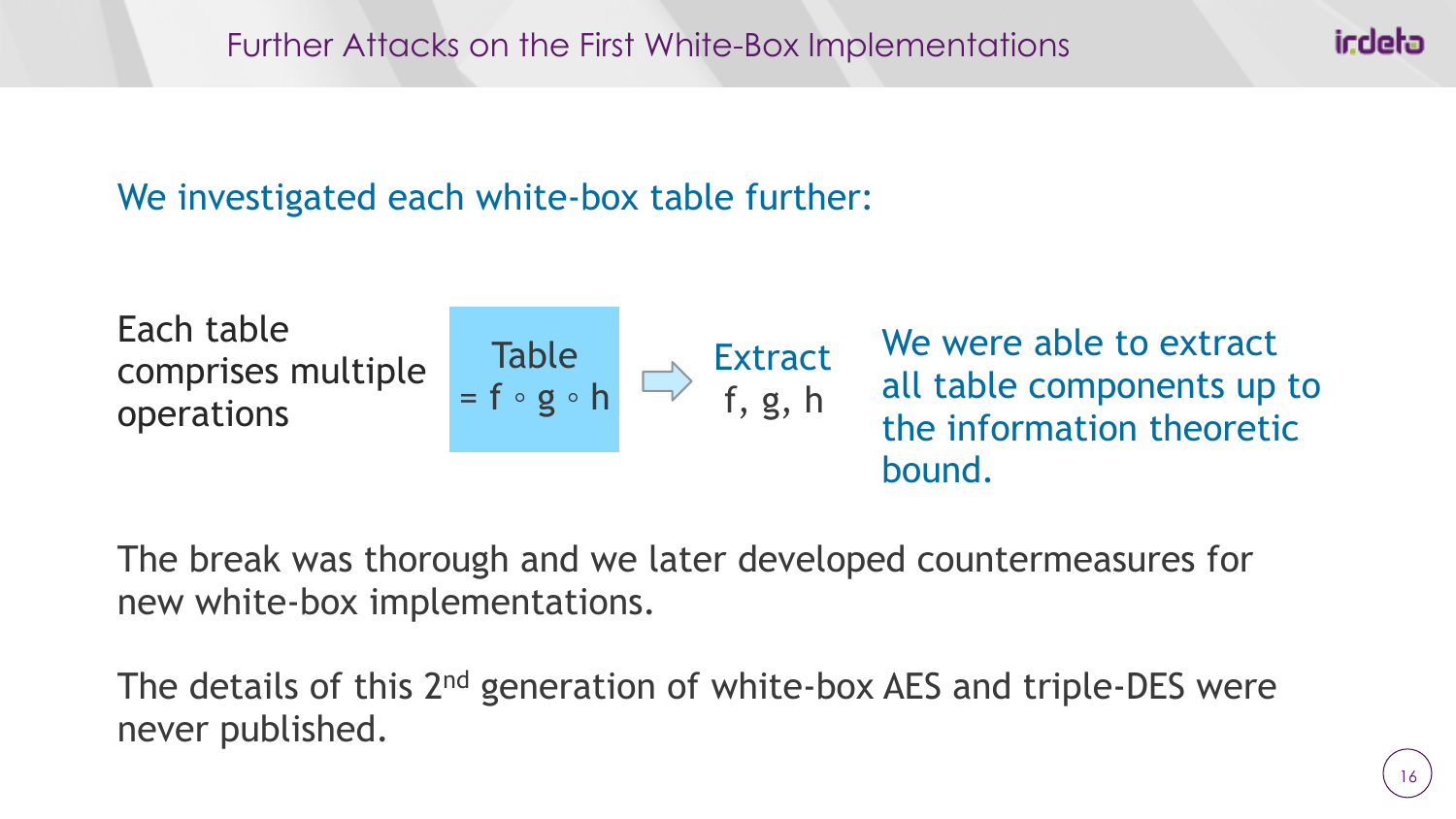## We investigated each white-box table further:



The break was thorough and we later developed countermeasures for new white-box implementations.

The details of this 2<sup>nd</sup> generation of white-box AES and triple-DES were never published.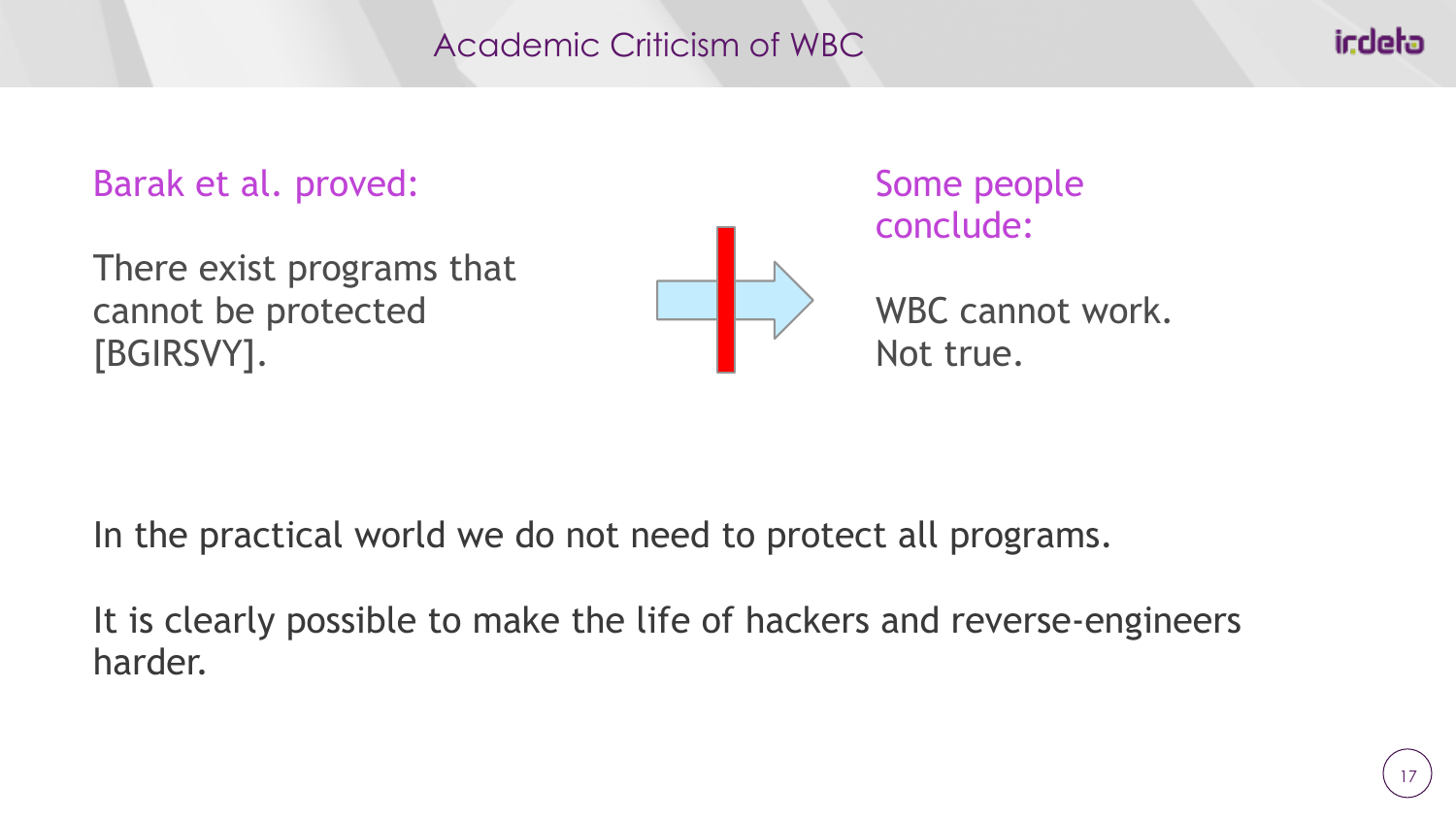icdeta

# Barak et al. proved:

There exist programs that cannot be protected [BGIRSVY].



Some people conclude:

WBC cannot work. Not true.

In the practical world we do not need to protect all programs.

It is clearly possible to make the life of hackers and reverse-engineers harder.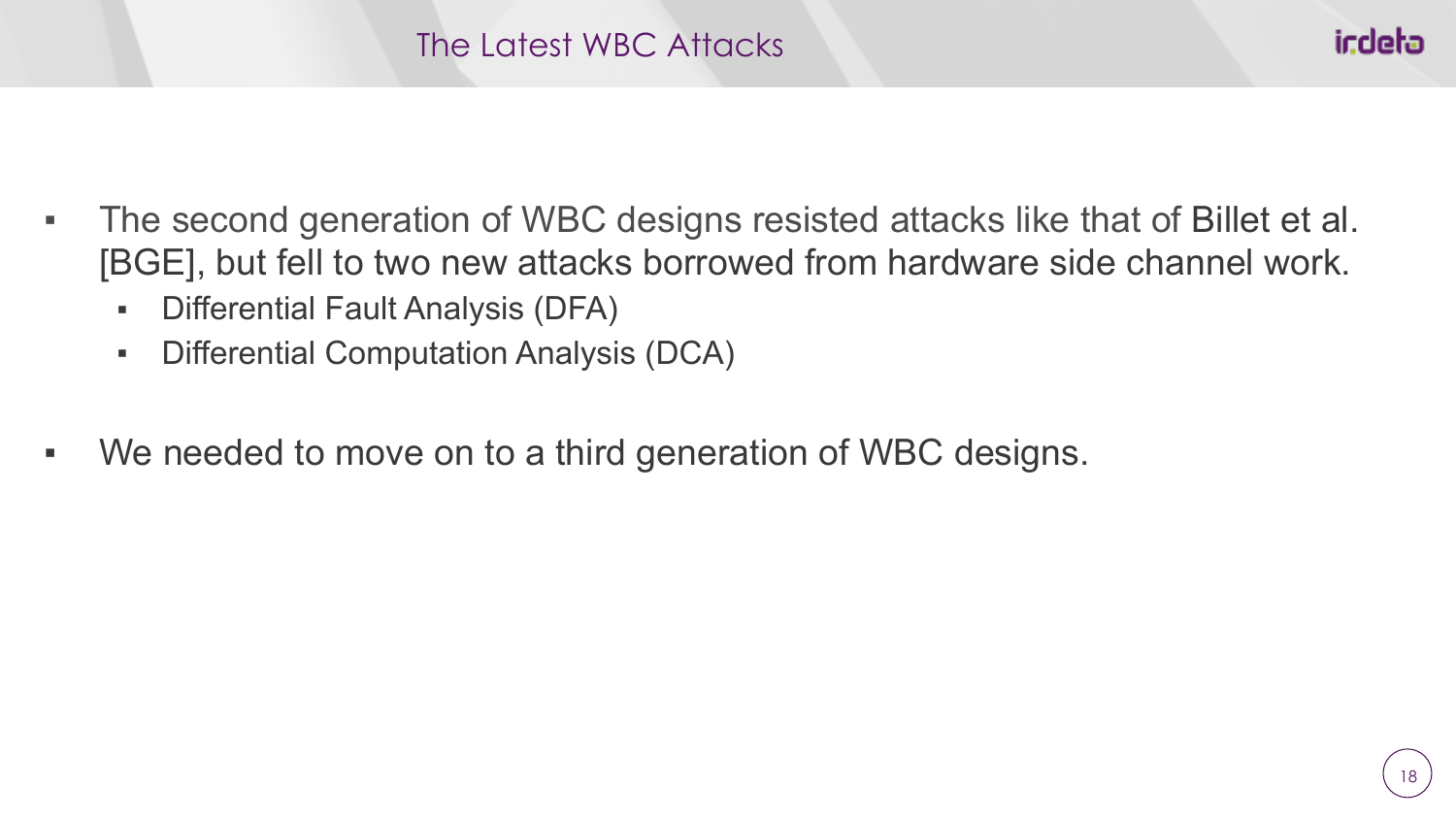- The second generation of WBC designs resisted attacks like that of Billet et al. [BGE], but fell to two new attacks borrowed from hardware side channel work.
	- Differential Fault Analysis (DFA)
	- Differential Computation Analysis (DCA)
- We needed to move on to a third generation of WBC designs.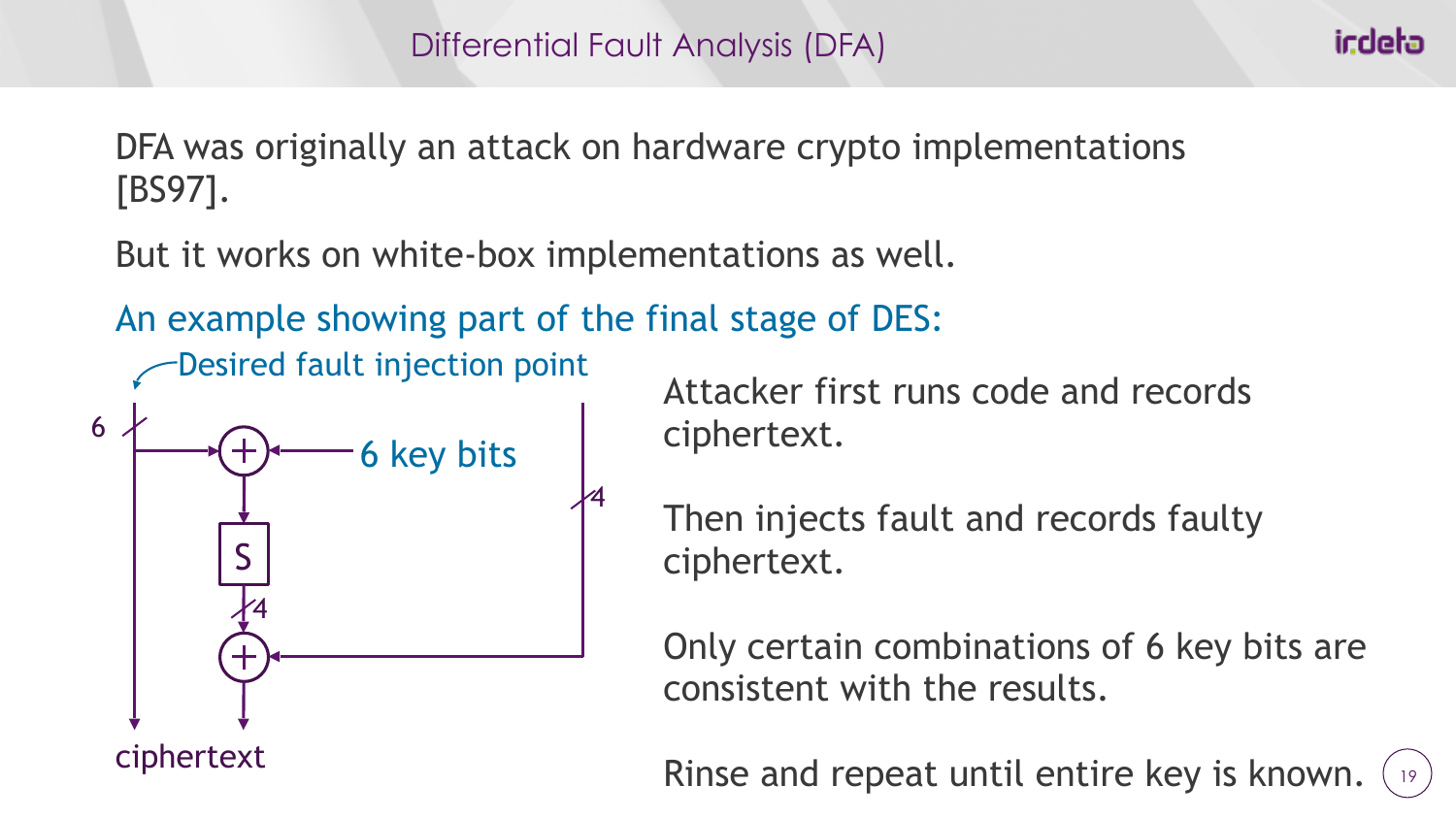icdeta

DFA was originally an attack on hardware crypto implementations [BS97].

But it works on white-box implementations as well.

An example showing part of the final stage of DES:



Desired fault injection point Attacker first runs code and records ciphertext.

> Then injects fault and records faulty ciphertext.

Only certain combinations of 6 key bits are consistent with the results.

19 Rinse and repeat until entire key is known.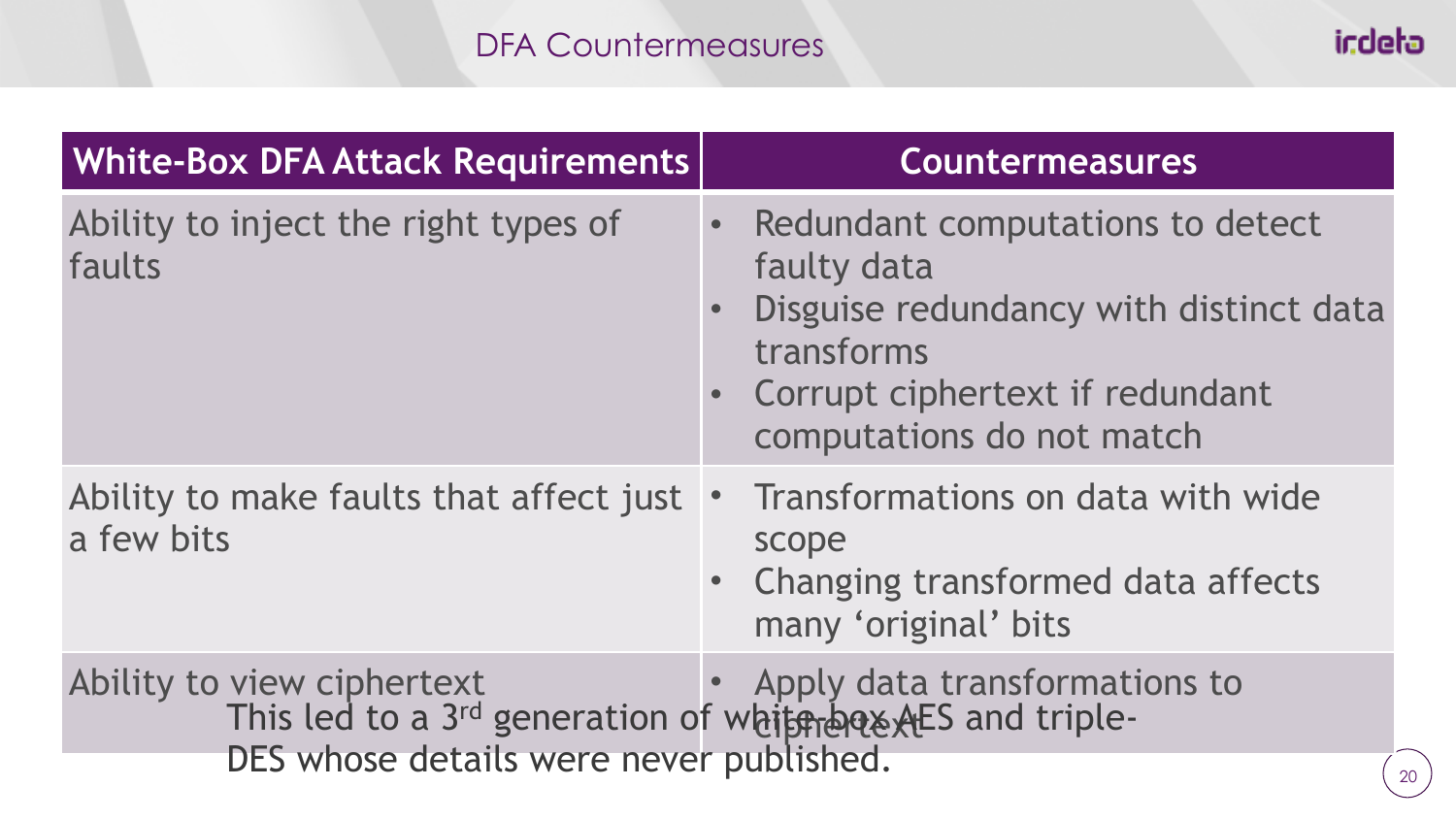## DFA Countermeasures

| <b>White-Box DFA Attack Requirements</b>                                                                                           | <b>Countermeasures</b>                                                                                                                                                               |
|------------------------------------------------------------------------------------------------------------------------------------|--------------------------------------------------------------------------------------------------------------------------------------------------------------------------------------|
| Ability to inject the right types of<br>faults                                                                                     | Redundant computations to detect<br>$\bullet$<br>faulty data<br>Disguise redundancy with distinct data<br>transforms<br>Corrupt ciphertext if redundant<br>computations do not match |
| Ability to make faults that affect just<br>a few bits                                                                              | Transformations on data with wide<br>$\bullet$<br>scope<br>Changing transformed data affects<br>many 'original' bits                                                                 |
| Ability to view ciphertext<br>This led to a 3rd generation of white box AES and triple-<br>DES whose details were never published. | Apply data transformations to                                                                                                                                                        |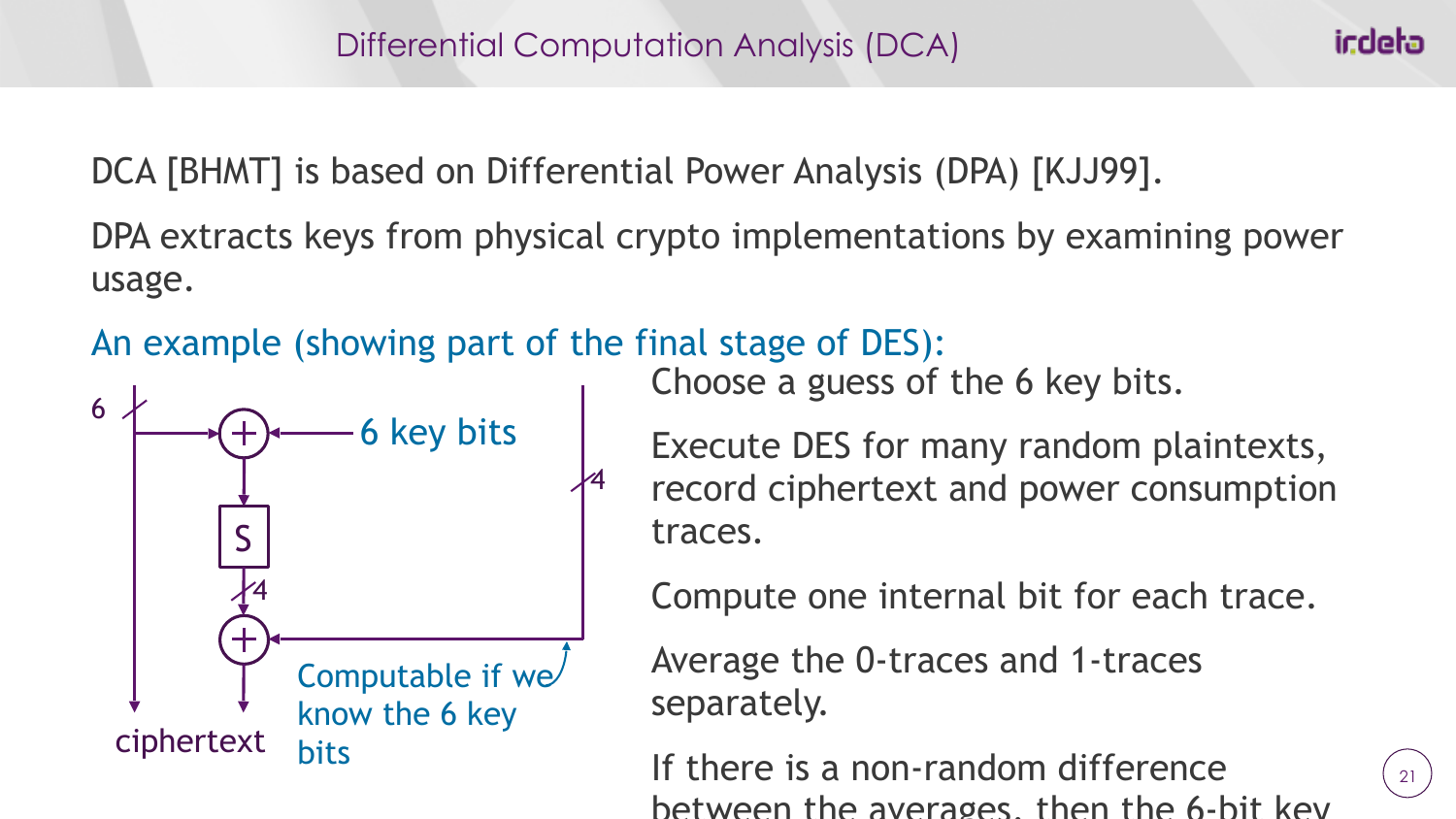DCA [BHMT] is based on Differential Power Analysis (DPA) [KJJ99].

DPA extracts keys from physical crypto implementations by examining power usage.

An example (showing part of the final stage of DES):



Choose a guess of the 6 key bits.

Execute DES for many random plaintexts, record ciphertext and power consumption traces.

Compute one internal bit for each trace.

Average the 0-traces and 1-traces separately.

If there is a non-random difference between the averages, then the 6-bit key

ir:deta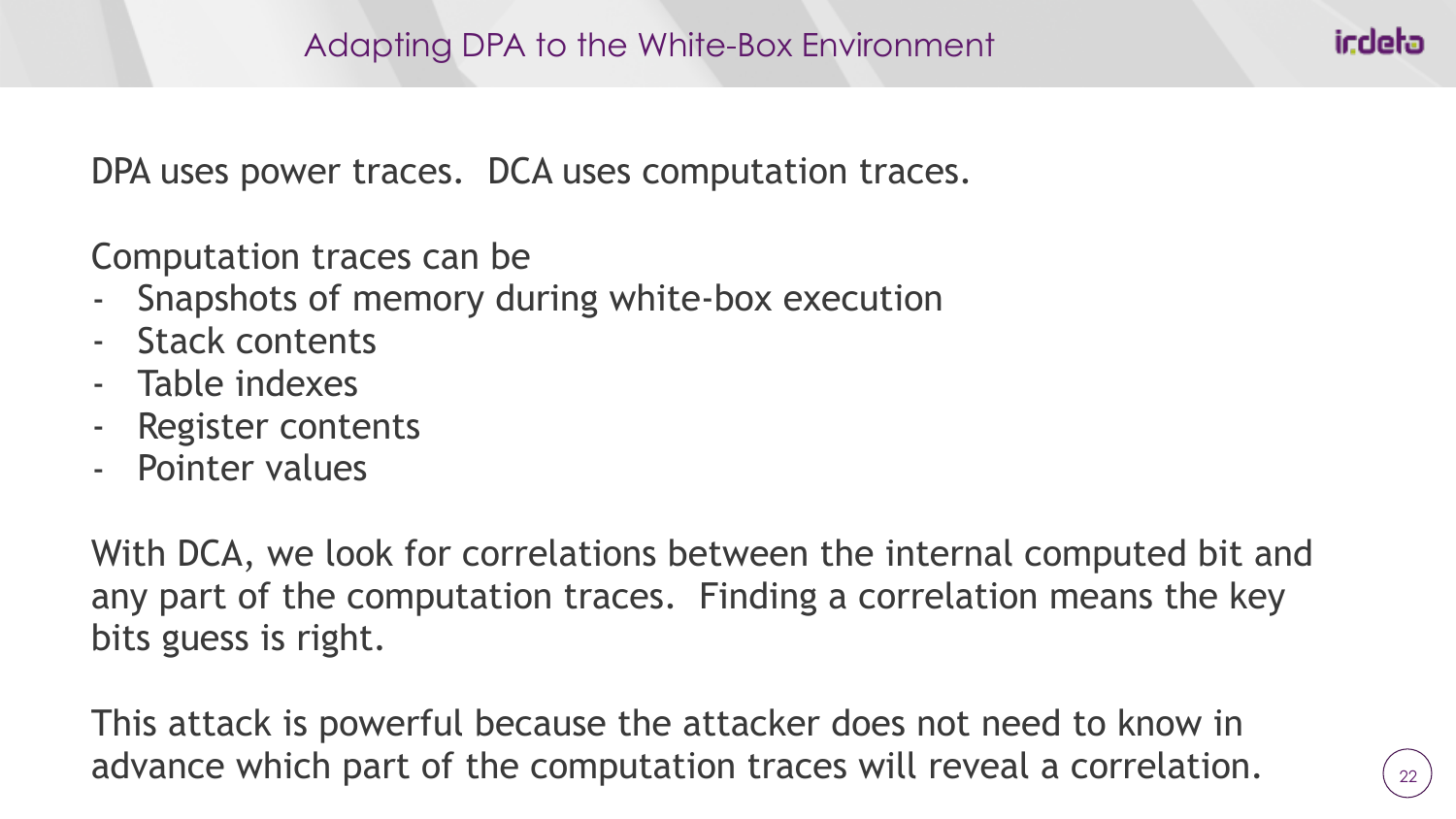DPA uses power traces. DCA uses computation traces.

Computation traces can be

- Snapshots of memory during white-box execution
- Stack contents
- Table indexes
- Register contents
- Pointer values

With DCA, we look for correlations between the internal computed bit and any part of the computation traces. Finding a correlation means the key bits guess is right.

This attack is powerful because the attacker does not need to know in advance which part of the computation traces will reveal a correlation.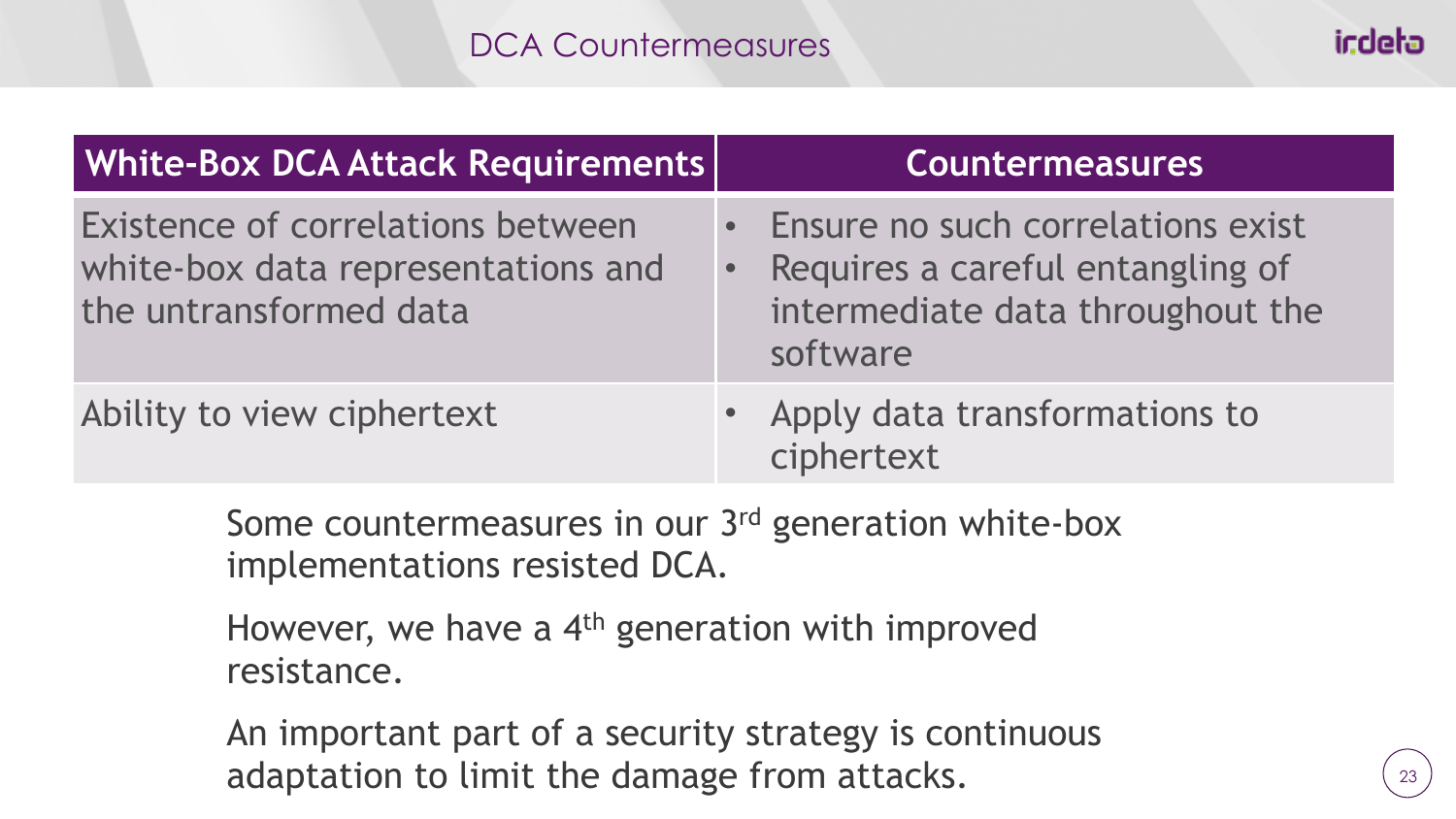| <b>White-Box DCA Attack Requirements</b>                                                          | <b>Countermeasures</b>                                                                                                    |
|---------------------------------------------------------------------------------------------------|---------------------------------------------------------------------------------------------------------------------------|
| Existence of correlations between<br>white-box data representations and<br>the untransformed data | • Ensure no such correlations exist<br>• Requires a careful entangling of<br>intermediate data throughout the<br>software |
| Ability to view ciphertext                                                                        | • Apply data transformations to<br>ciphertext                                                                             |

Some countermeasures in our 3rd generation white-box implementations resisted DCA.

However, we have a 4<sup>th</sup> generation with improved resistance.

An important part of a security strategy is continuous adaptation to limit the damage from attacks.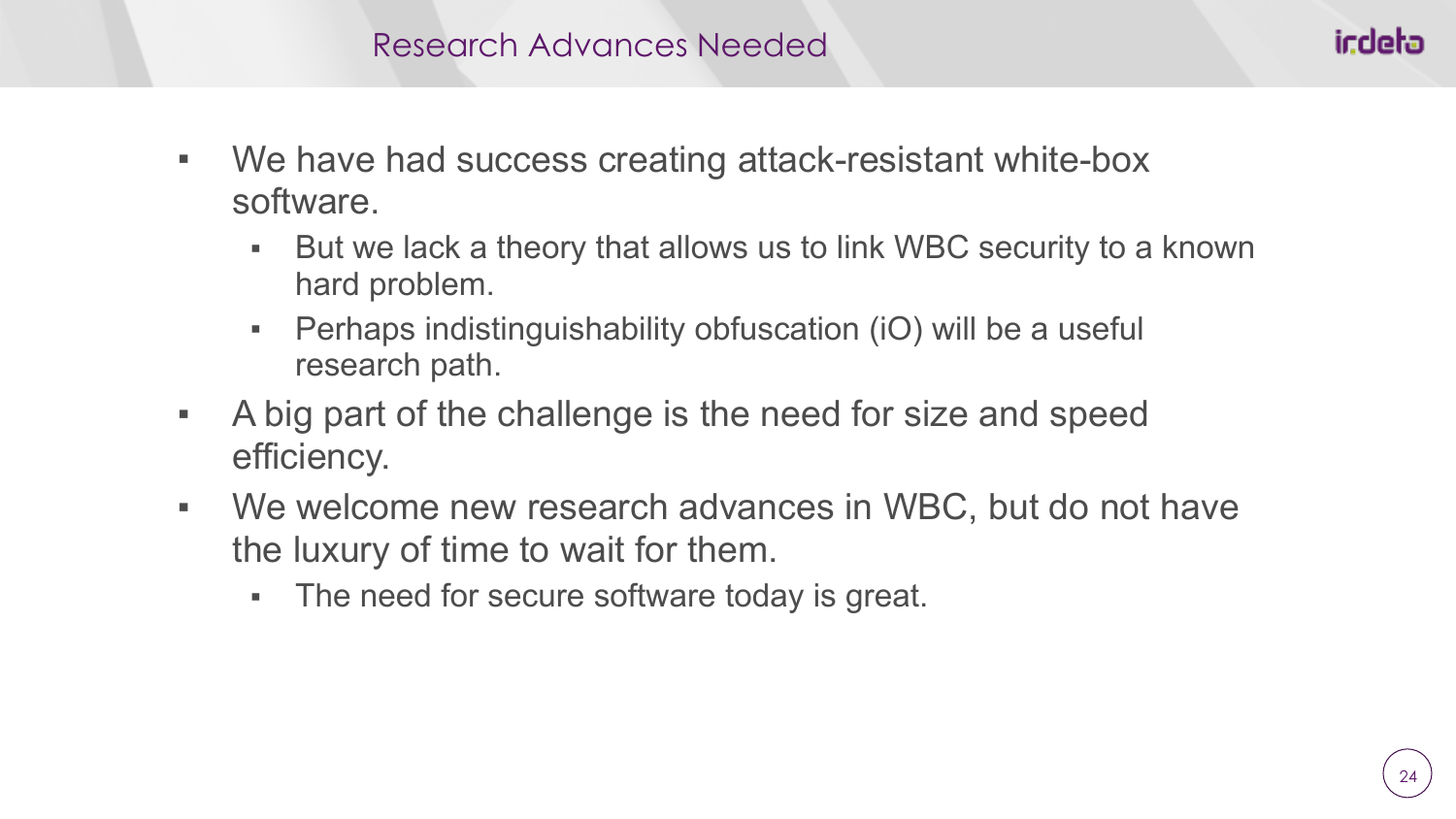- We have had success creating attack-resistant white-box software.
	- But we lack a theory that allows us to link WBC security to a known hard problem.
	- **Perhaps indistinguishability obfuscation (iO) will be a useful** research path.
- A big part of the challenge is the need for size and speed efficiency.
- We welcome new research advances in WBC, but do not have the luxury of time to wait for them.
	- The need for secure software today is great.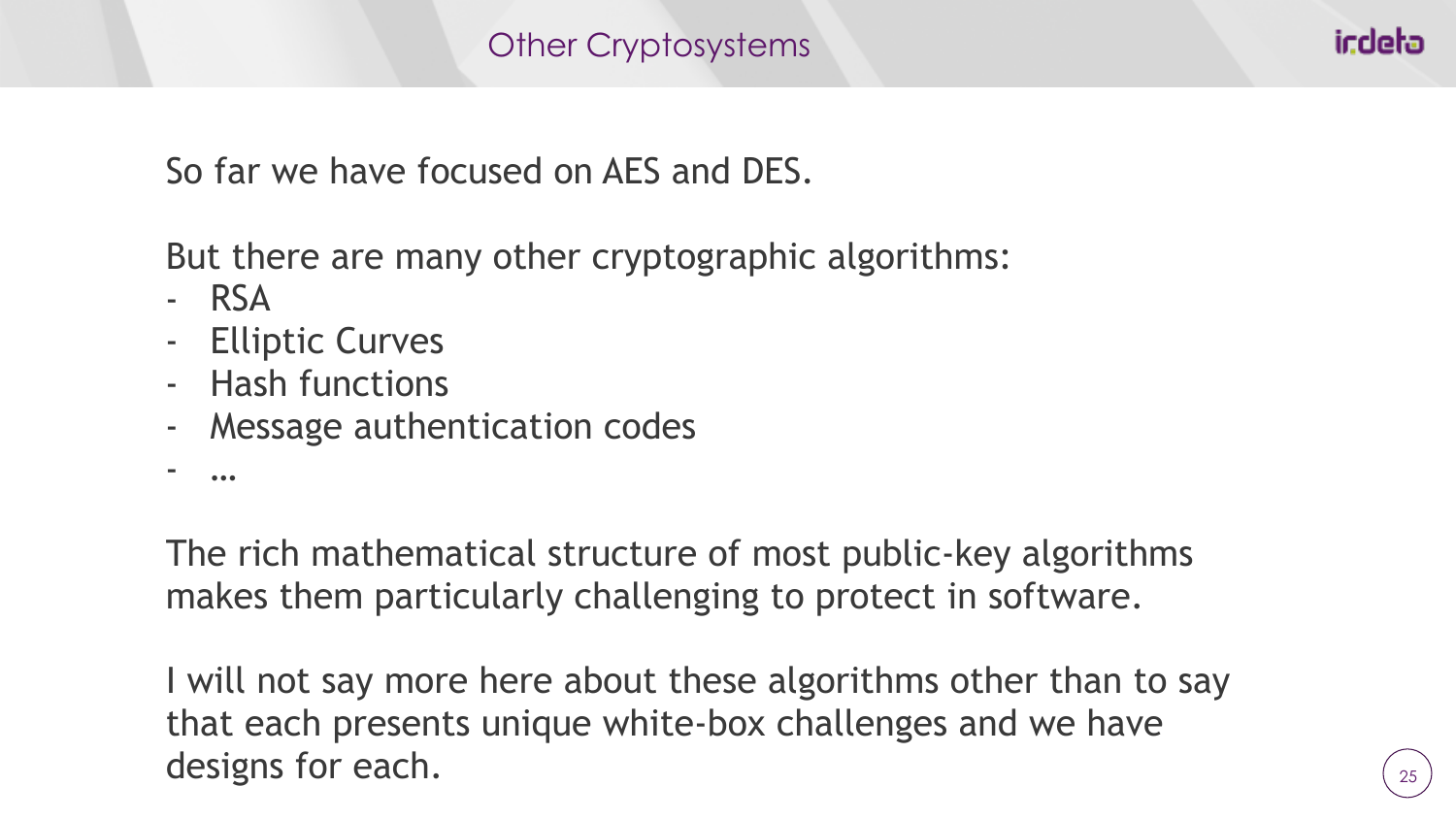So far we have focused on AES and DES.

But there are many other cryptographic algorithms:

- RSA
- Elliptic Curves
- Hash functions
- Message authentication codes
- …

The rich mathematical structure of most public-key algorithms makes them particularly challenging to protect in software.

I will not say more here about these algorithms other than to say that each presents unique white-box challenges and we have designs for each.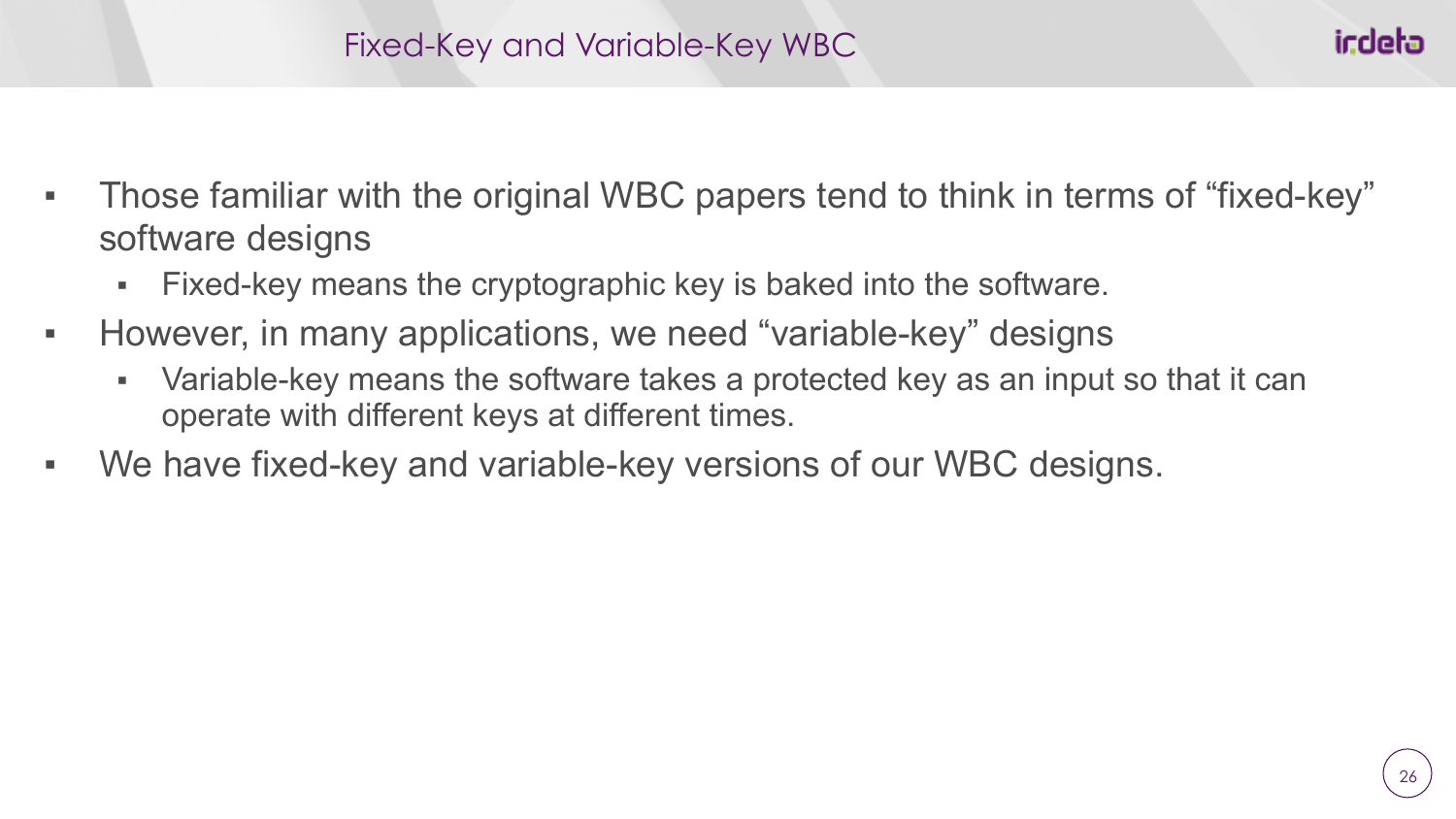- Those familiar with the original WBC papers tend to think in terms of "fixed-key" software designs
	- Fixed-key means the cryptographic key is baked into the software.
- However, in many applications, we need "variable-key" designs
	- Variable-key means the software takes a protected key as an input so that it can operate with different keys at different times.
- We have fixed-key and variable-key versions of our WBC designs.

icdeta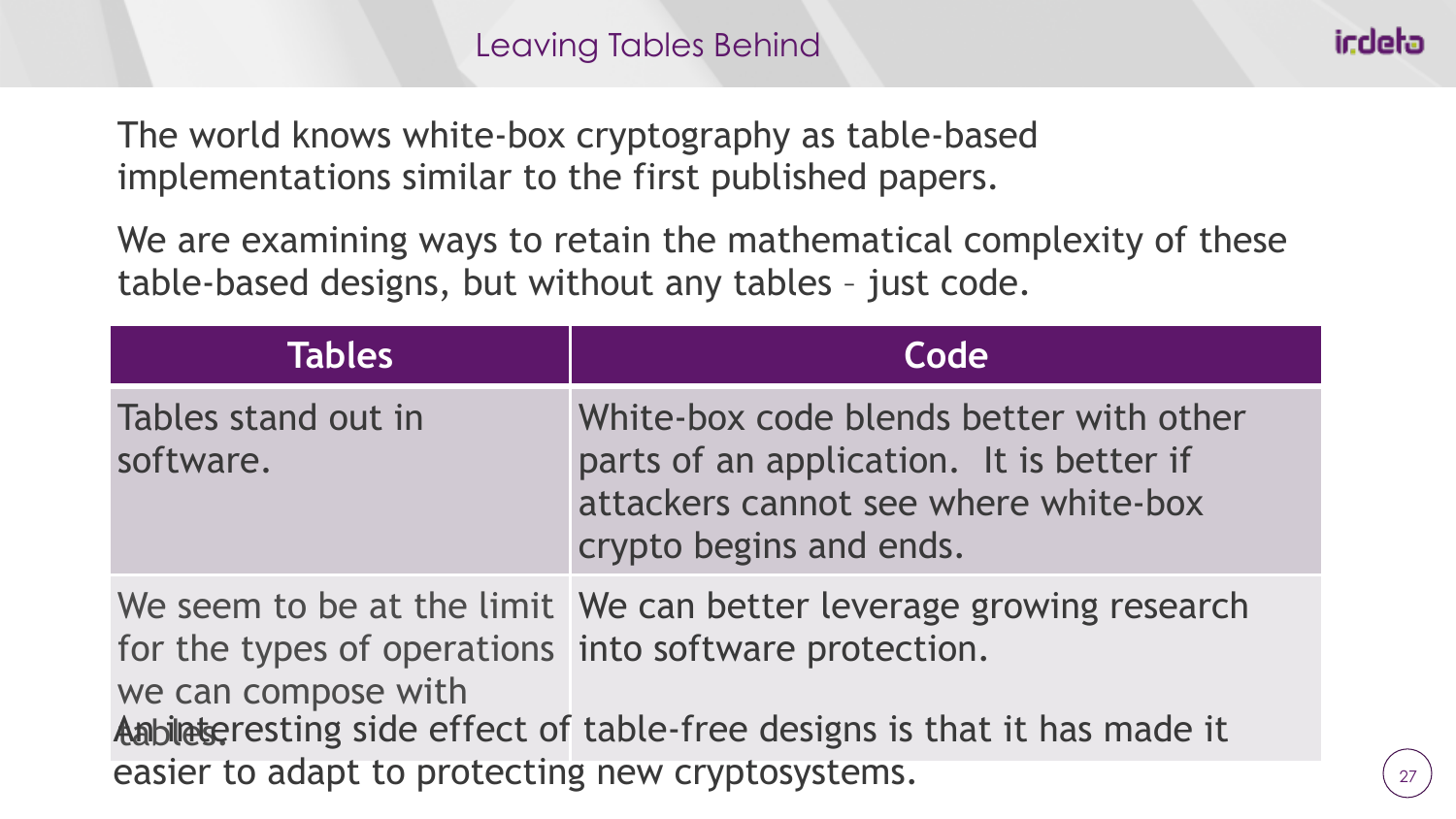The world knows white-box cryptography as table-based implementations similar to the first published papers.

We are examining ways to retain the mathematical complexity of these table-based designs, but without any tables – just code.

| <b>Tables</b>                                                                | Code                                                                                                                                                   |  |
|------------------------------------------------------------------------------|--------------------------------------------------------------------------------------------------------------------------------------------------------|--|
| Tables stand out in<br>software.                                             | White-box code blends better with other<br>parts of an application. It is better if<br>attackers cannot see where white-box<br>crypto begins and ends. |  |
| for the types of operations into software protection.<br>we can compose with | We seem to be at the limit We can better leverage growing research<br>An bilet gresting side effect of table-free designs is that it has made it       |  |
| easier to adapt to protecting new cryptosystems.                             |                                                                                                                                                        |  |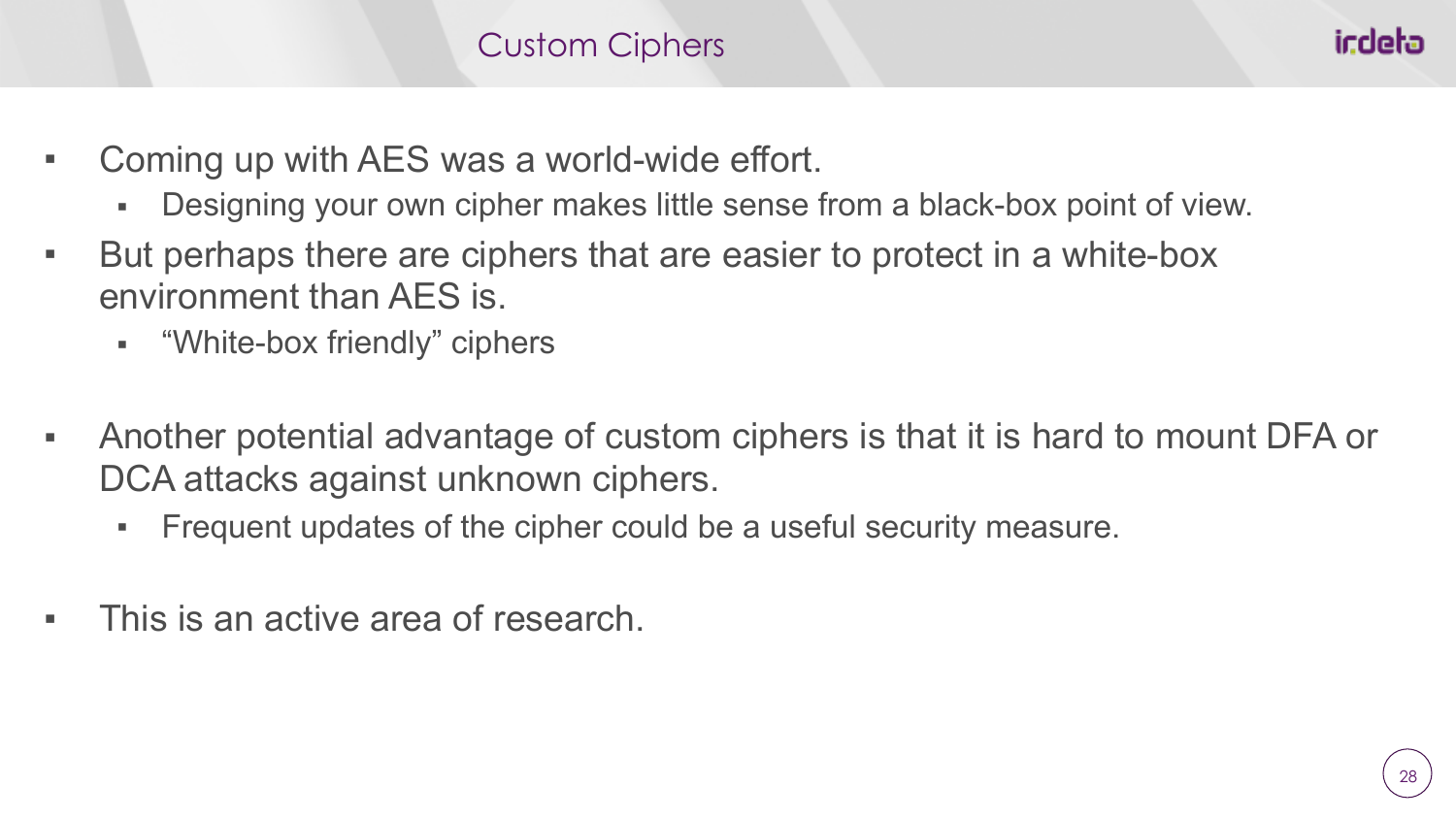#### Custom Ciphers

- Coming up with AES was a world-wide effort.
	- Designing your own cipher makes little sense from a black-box point of view.
- But perhaps there are ciphers that are easier to protect in a white-box environment than AES is.
	- "White-box friendly" ciphers
- Another potential advantage of custom ciphers is that it is hard to mount DFA or DCA attacks against unknown ciphers.
	- Frequent updates of the cipher could be a useful security measure.
- This is an active area of research.

icdeta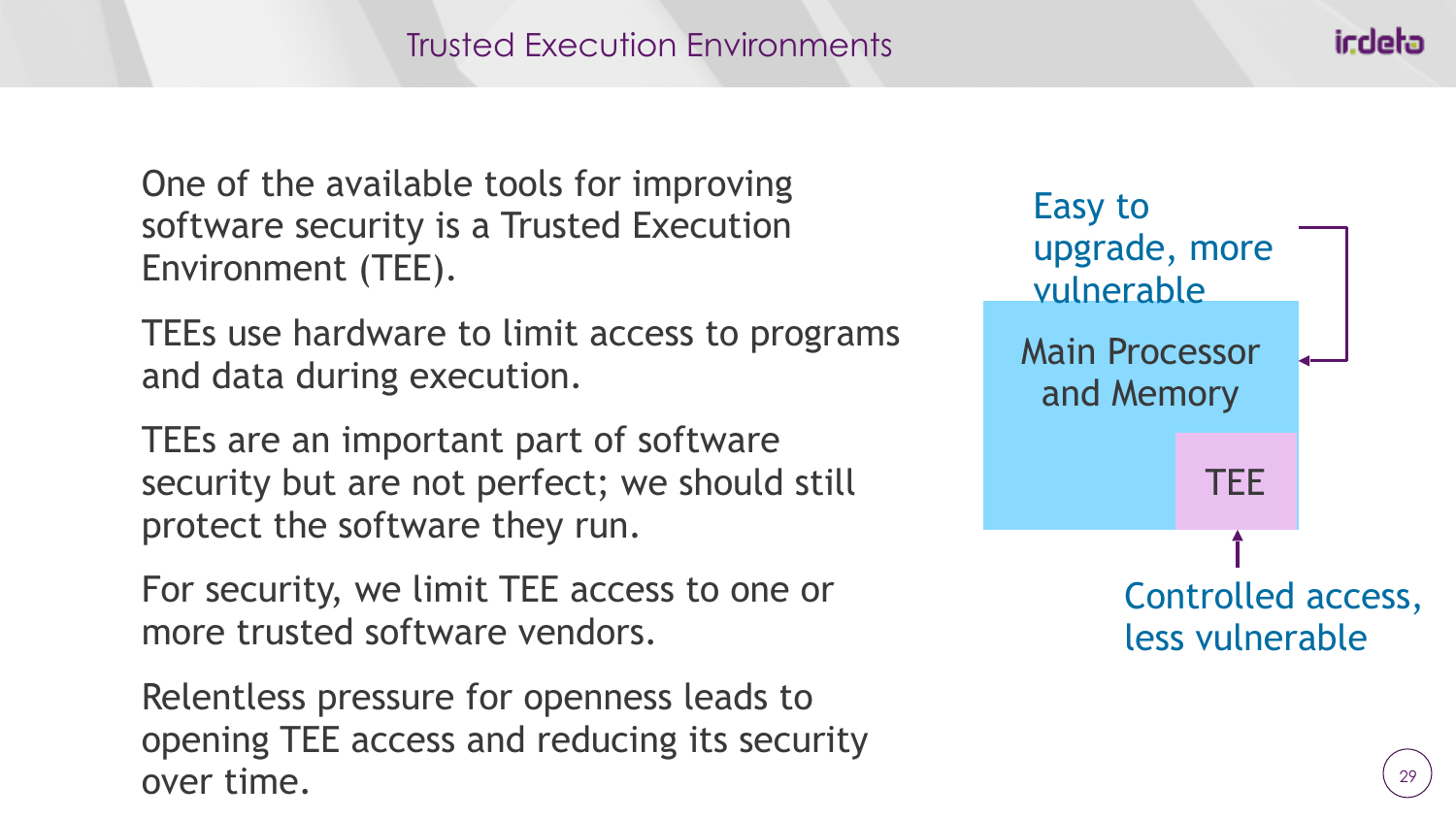One of the available tools for improving software security is a Trusted Execution Environment (TEE).

TEEs use hardware to limit access to programs and data during execution.

TEEs are an important part of software security but are not perfect; we should still protect the software they run.

For security, we limit TEE access to one or more trusted software vendors.

Relentless pressure for openness leads to opening TEE access and reducing its security over time.



icdeta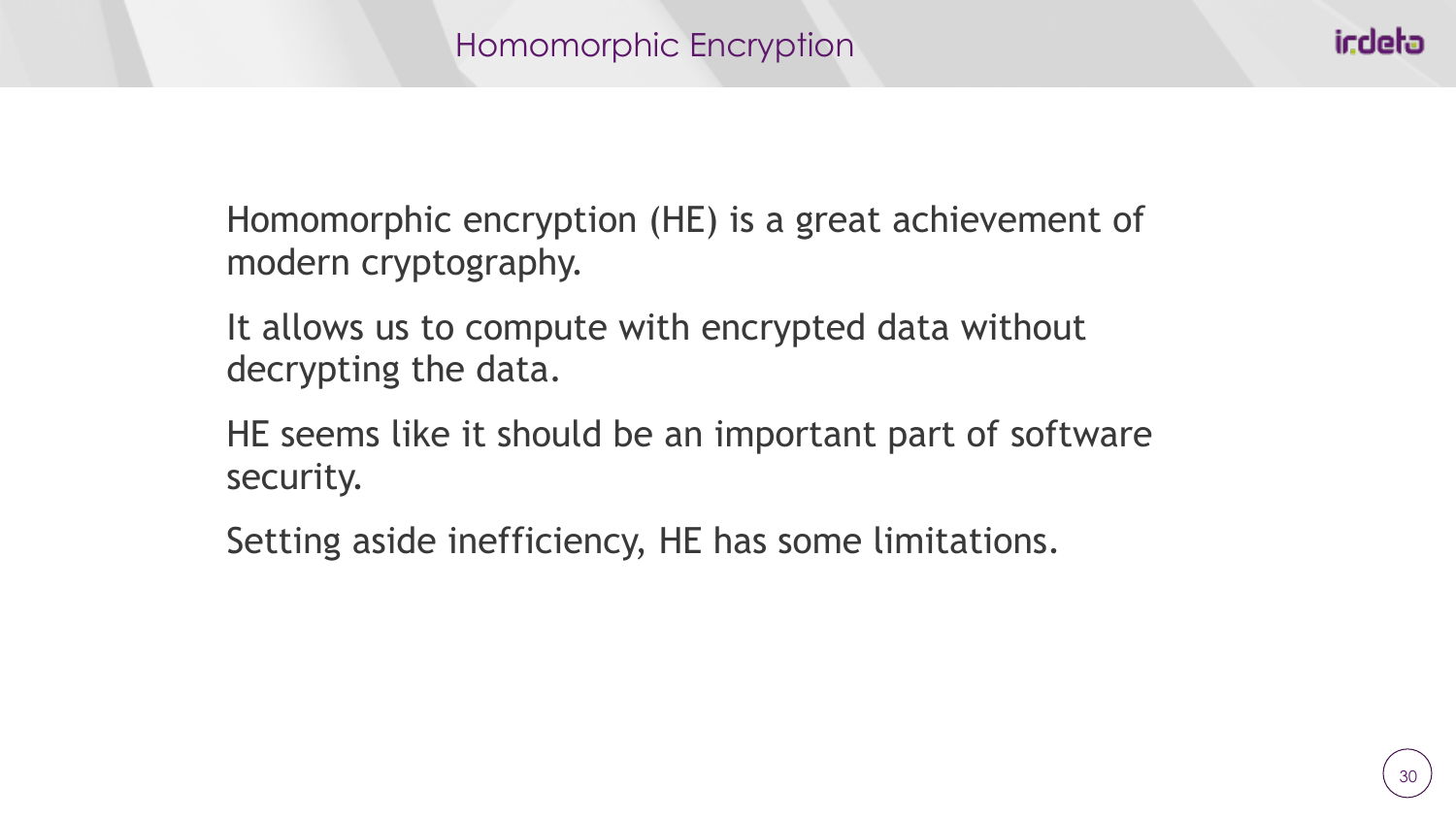Homomorphic encryption (HE) is a great achievement of modern cryptography.

It allows us to compute with encrypted data without decrypting the data.

HE seems like it should be an important part of software security.

Setting aside inefficiency, HE has some limitations.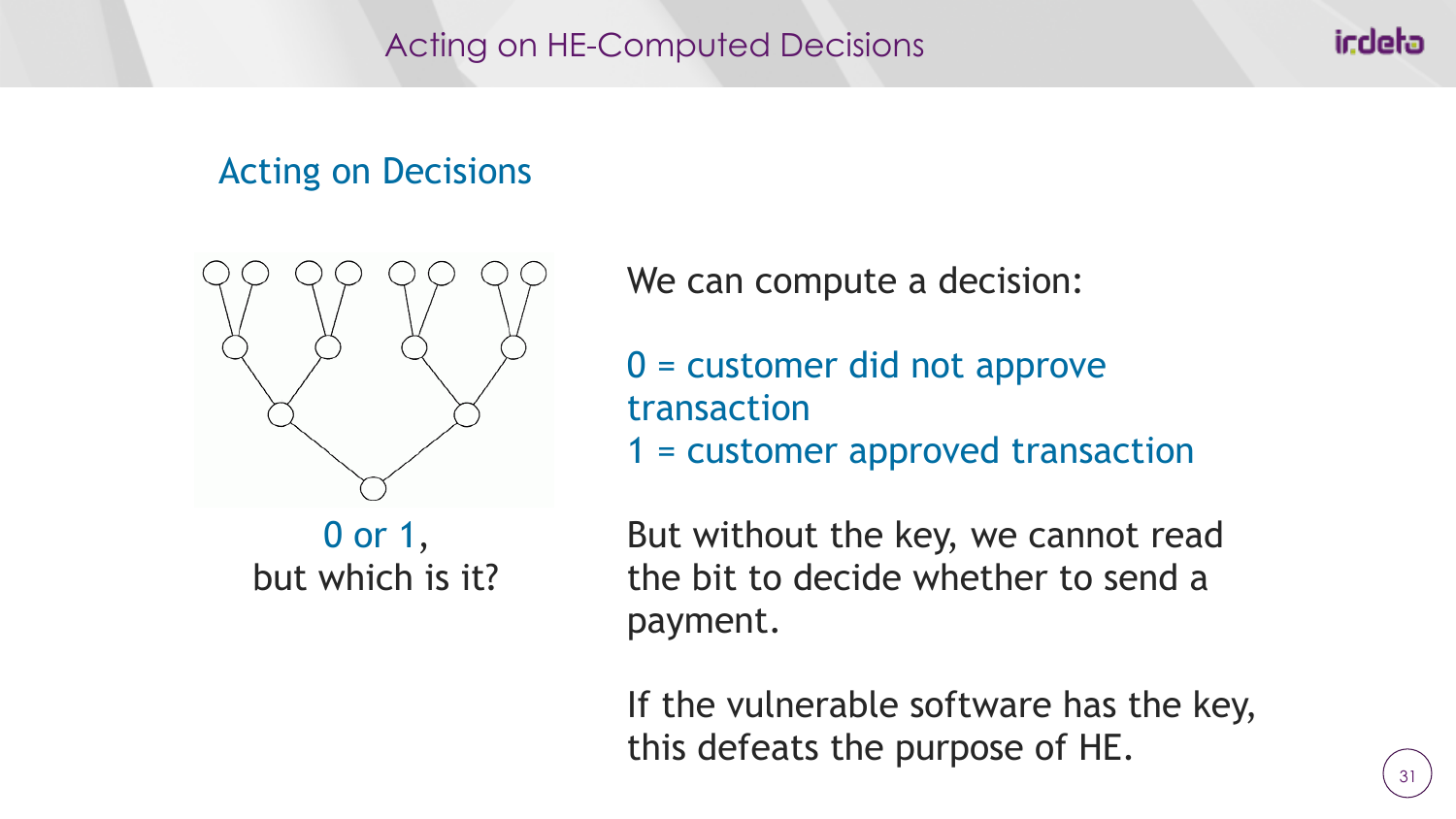Acting on HE-Computed Decisions

## Acting on Decisions



We can compute a decision:

- 0 = customer did not approve transaction
- 1 = customer approved transaction

0 or 1, but which is it?

But without the key, we cannot read the bit to decide whether to send a payment.

If the vulnerable software has the key, this defeats the purpose of HE.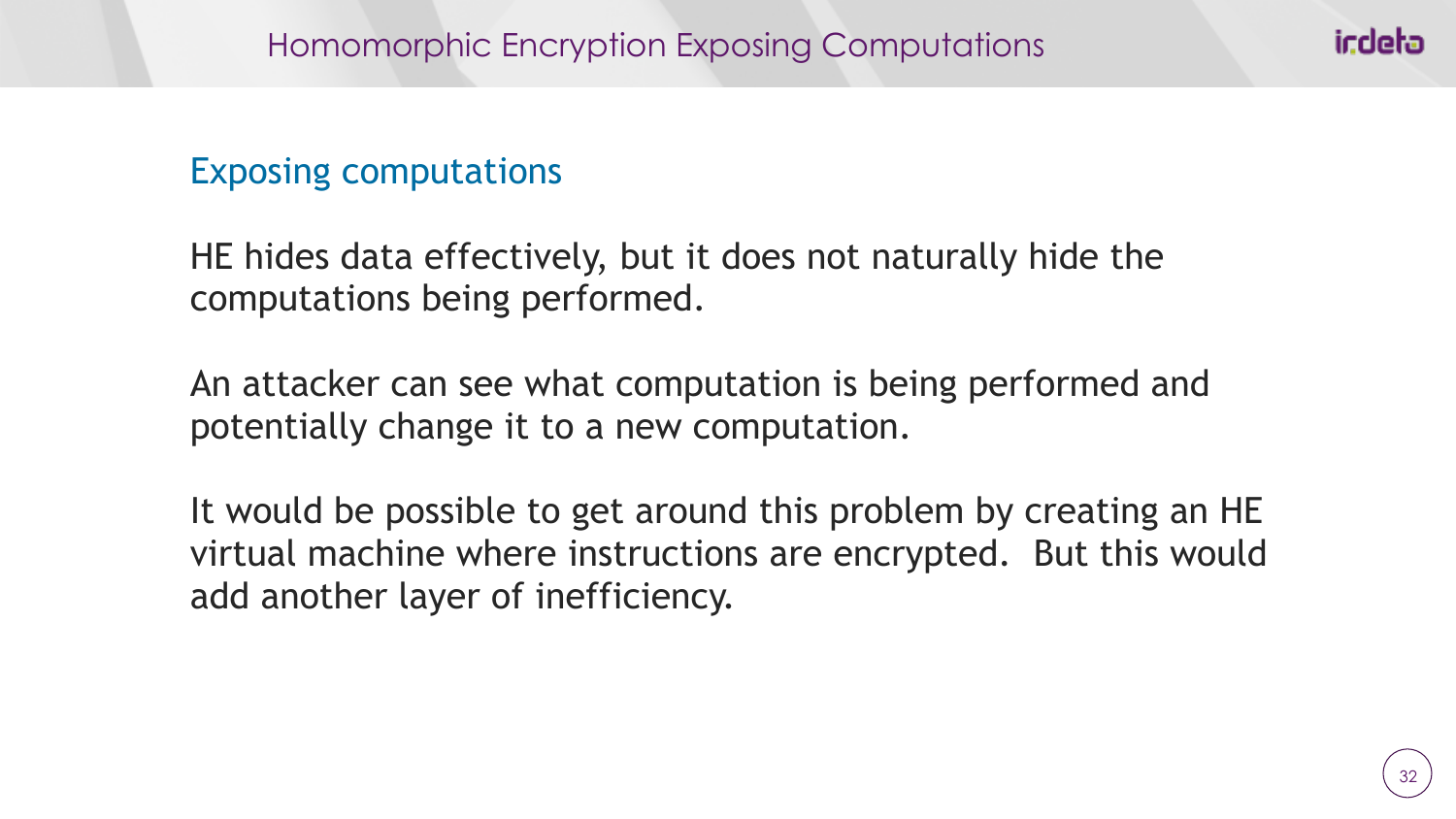### Exposing computations

HE hides data effectively, but it does not naturally hide the computations being performed.

An attacker can see what computation is being performed and potentially change it to a new computation.

It would be possible to get around this problem by creating an HE virtual machine where instructions are encrypted. But this would add another layer of inefficiency.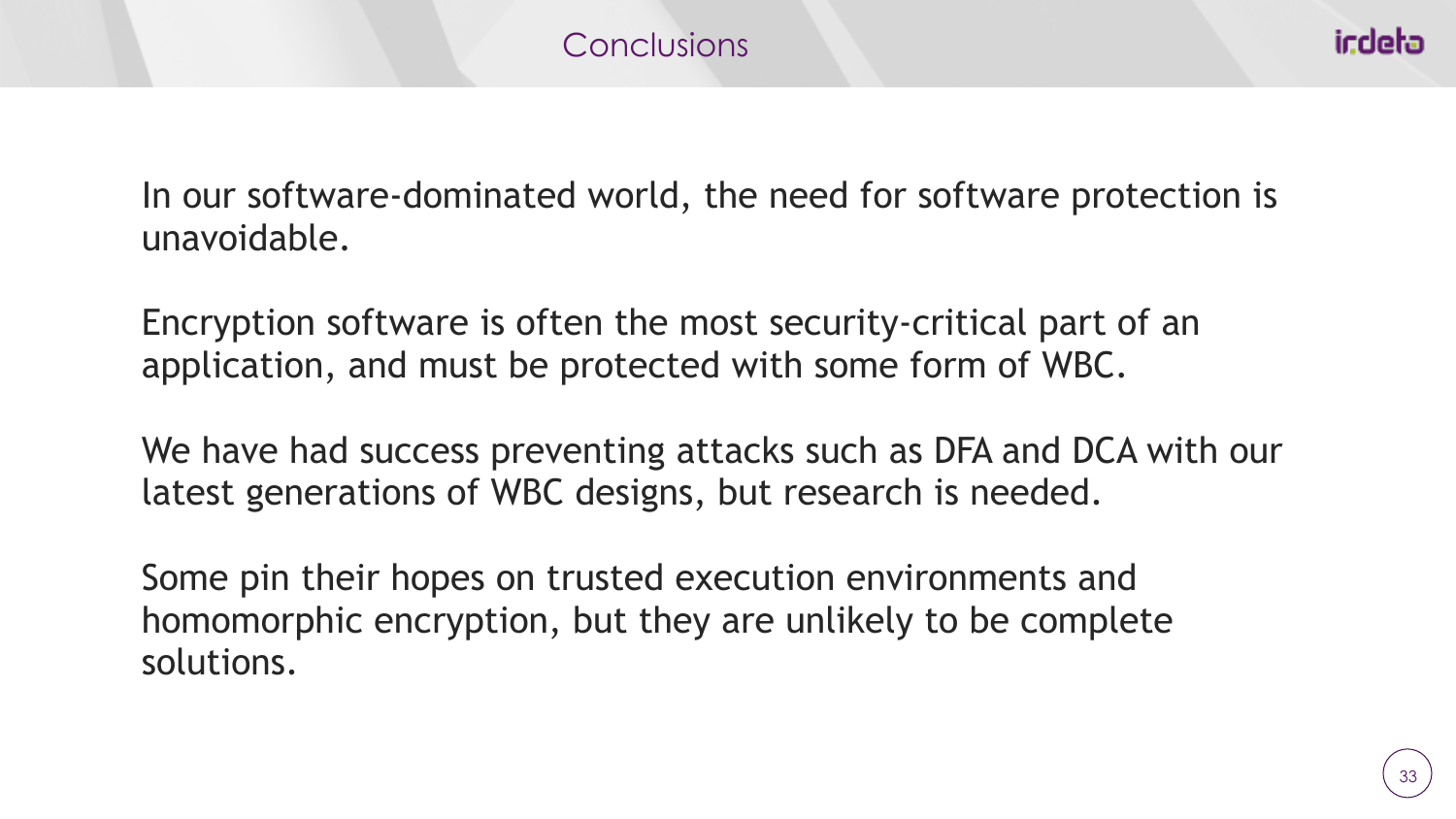In our software-dominated world, the need for software protection is unavoidable.

Encryption software is often the most security-critical part of an application, and must be protected with some form of WBC.

We have had success preventing attacks such as DFA and DCA with our latest generations of WBC designs, but research is needed.

Some pin their hopes on trusted execution environments and homomorphic encryption, but they are unlikely to be complete solutions.